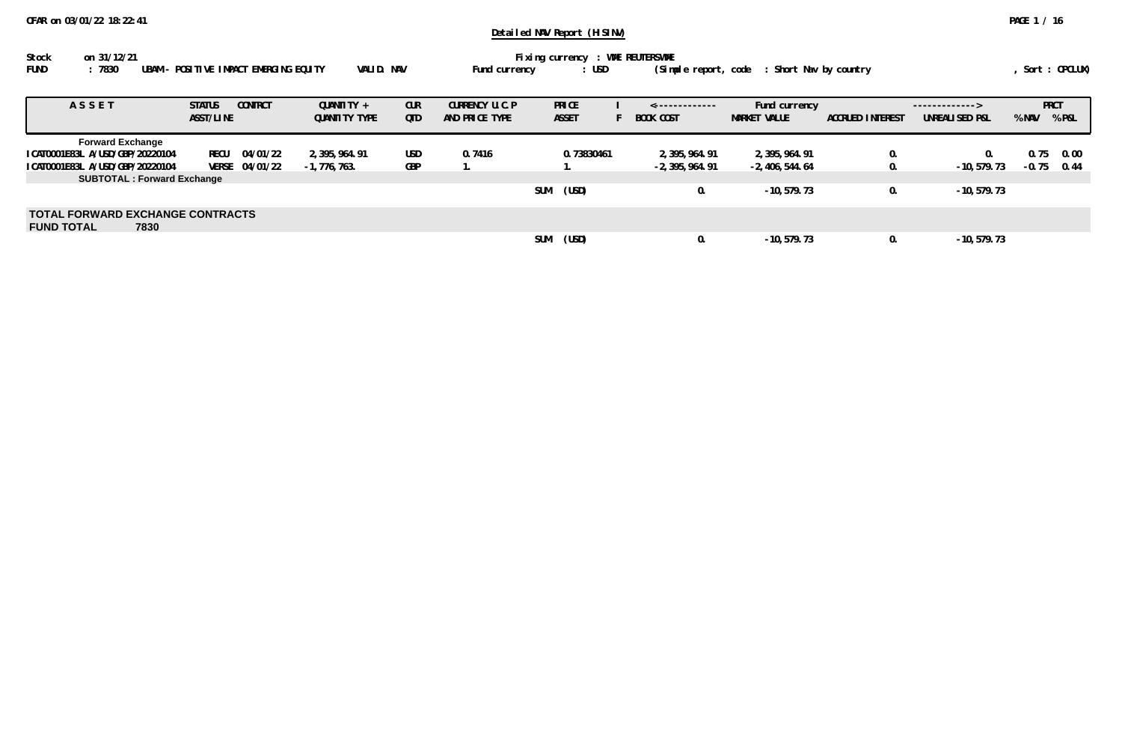| Stock       | on 31/12/21                                     |            |               | Fixing currency : WME REUTERSWME |                                               |                |
|-------------|-------------------------------------------------|------------|---------------|----------------------------------|-----------------------------------------------|----------------|
| <b>FUND</b> | :7830<br>UBAM – POSITIVE IMPACT EMERGING EQUITY | VALID. NAV | Fund currency | : USD                            | (Simple report, code   : Short Nav by country | Sort : OPCLUX) |

| ASSET                                                                | <b>CONTRCT</b><br><b>STATUS</b><br>ASST/LINE | QUANTITY +<br><b>QUANTITY TYPE</b> | <b>CUR</b><br>QTD | CURRENCY U.C.P<br>AND PRICE TYPE | <b>PRICE</b><br><b>ASSET</b> | <-------------<br><b>BOOK COST</b> | Fund currency<br><b>MARKET VALUE</b> | <b>ACCRUED INTEREST</b> | -------------><br>UNREALISED P&L | % NAV   | <b>PRCT</b><br>% P&L |
|----------------------------------------------------------------------|----------------------------------------------|------------------------------------|-------------------|----------------------------------|------------------------------|------------------------------------|--------------------------------------|-------------------------|----------------------------------|---------|----------------------|
| <b>Forward Exchange</b><br>ICAT0001E83L A/USD/GBP/20220104           | RECU<br>04/01/22                             | 2, 395, 964, 91                    | <b>USD</b>        | 0.7416                           | 0.73830461                   | 2, 395, 964, 91                    | 2, 395, 964. 91                      |                         | $\Omega$ .                       | 0.75    | 0.00                 |
| ICAT0001E83L A/USD/GBP/20220104<br><b>SUBTOTAL: Forward Exchange</b> | VERSE 04/01/22                               | $-1,776,763.$                      | GBP               |                                  |                              | $-2, 395, 964.91$                  | -2, 406, 544. 64                     |                         | $-10, 579.73$                    | $-0.75$ | 0.44                 |
|                                                                      |                                              |                                    |                   |                                  | <b>SUM</b><br>(USD)          | 0.                                 | $-10, 579.73$                        |                         | $-10, 579.73$                    |         |                      |
| <b>TOTAL FORWARD EXCHANGE CONTRACTS</b><br><b>FUND TOTAL</b><br>7830 |                                              |                                    |                   |                                  |                              |                                    |                                      |                         |                                  |         |                      |
|                                                                      |                                              |                                    |                   |                                  | <b>SUM</b><br>(USD)          |                                    | $-10.579.73$                         |                         | $-10.579.73$                     |         |                      |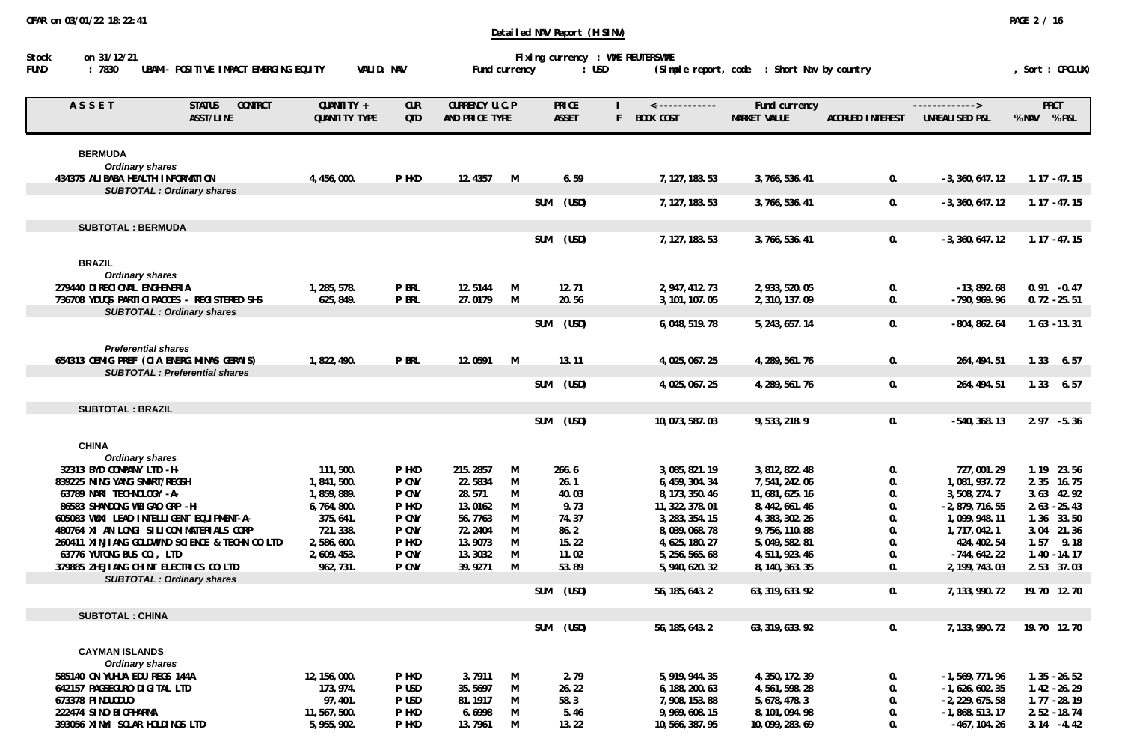| ASSET                                           | <b>STATUS</b><br><b>CONTRCT</b>      | QUANTITY +    | <b>CUR</b> | CURRENCY U.C.P |   |            | PRICE        |    | $\leftarrow$ ------------- | Fund currency       |                         | ------------->    | <b>PRCT</b>    |
|-------------------------------------------------|--------------------------------------|---------------|------------|----------------|---|------------|--------------|----|----------------------------|---------------------|-------------------------|-------------------|----------------|
|                                                 | ASST/LINE                            | QUANTITY TYPE | QTD        | AND PRICE TYPE |   |            | <b>ASSET</b> | F. | <b>BOOK COST</b>           | <b>MARKET VALUE</b> | <b>ACCRUED INTEREST</b> | UNREALISED P&L    | % NAV % P&L    |
| <b>BERMUDA</b>                                  |                                      |               |            |                |   |            |              |    |                            |                     |                         |                   |                |
| <b>Ordinary shares</b>                          |                                      |               |            |                |   |            |              |    |                            |                     |                         |                   |                |
| 434375 ALIBABA HEALTH INFORMATION               |                                      | 4, 456, 000.  | P HKD      | 12.4357        | M |            | 6.59         |    | 7, 127, 183. 53            | 3,766,536.41        | 0.                      | $-3, 360, 647.12$ | $1.17 - 47.15$ |
| <b>SUBTOTAL : Ordinary shares</b>               |                                      |               |            |                |   |            |              |    |                            |                     |                         |                   |                |
|                                                 |                                      |               |            |                |   | <b>SUM</b> | (USD)        |    | 7, 127, 183. 53            | 3,766,536.41        | 0.                      | $-3, 360, 647.12$ | $1.17 - 47.15$ |
| <b>SUBTOTAL: BERMUDA</b>                        |                                      |               |            |                |   |            |              |    |                            |                     |                         |                   |                |
|                                                 |                                      |               |            |                |   | <b>SUM</b> | (USD)        |    | 7, 127, 183, 53            | 3,766,536.41        | 0.                      | $-3.360.647.12$   | $1.17 - 47.15$ |
|                                                 |                                      |               |            |                |   |            |              |    |                            |                     |                         |                   |                |
| <b>BRAZIL</b>                                   |                                      |               |            |                |   |            |              |    |                            |                     |                         |                   |                |
| <b>Ordinary shares</b>                          |                                      |               |            |                |   |            |              |    |                            |                     |                         |                   |                |
| 279440 DIRECIONAL ENGHENERIA                    |                                      | 1,285,578.    | P BRL      | 12.5144        | M |            | 12.71        |    | 2, 947, 412. 73            | 2, 933, 520.05      | 0.                      | $-13,892.68$      | $0.91 - 0.47$  |
| 736708 YDUQS PARTICIPACOES - REGISTERED SHS     |                                      | 625, 849.     | P BRL      | 27.0179        | M |            | 20.56        |    | 3, 101, 107.05             | 2,310,137.09        | 0.                      | $-790, 969.96$    | $0.72 - 25.51$ |
| <b>SUBTOTAL: Ordinary shares</b>                |                                      |               |            |                |   |            |              |    |                            |                     |                         |                   |                |
|                                                 |                                      |               |            |                |   | <b>SUM</b> | (USD)        |    | 6,048,519.78               | 5, 243, 657. 14     | 0.                      | $-804, 862.64$    | $1.63 - 13.31$ |
|                                                 |                                      |               |            |                |   |            |              |    |                            |                     |                         |                   |                |
| <b>Preferential shares</b>                      |                                      |               | P BRL      | 12.0591        | M |            | 13.11        |    |                            |                     |                         |                   | $1.33$ 6.57    |
| 654313 CEMIG PREF (CIA ENERG. MINAS GERAIS)     | <b>SUBTOTAL: Preferential shares</b> | 1,822,490.    |            |                |   |            |              |    | 4,025,067.25               | 4, 289, 561. 76     | 0.                      | 264, 494.51       |                |
|                                                 |                                      |               |            |                |   | SUM        | (USD)        |    | 4,025,067.25               | 4, 289, 561. 76     | 0.                      | 264, 494.51       | $1.33$ 6.57    |
|                                                 |                                      |               |            |                |   |            |              |    |                            |                     |                         |                   |                |
| <b>SUBTOTAL: BRAZIL</b>                         |                                      |               |            |                |   |            |              |    |                            |                     |                         |                   |                |
|                                                 |                                      |               |            |                |   | <b>SUM</b> | (USD)        |    | 10, 073, 587, 03           | 9,533,218.9         | 0.                      | $-540, 368.13$    | $2.97 - 5.36$  |
|                                                 |                                      |               |            |                |   |            |              |    |                            |                     |                         |                   |                |
| <b>CHINA</b>                                    |                                      |               |            |                |   |            |              |    |                            |                     |                         |                   |                |
| <b>Ordinary shares</b>                          |                                      |               |            |                |   |            |              |    |                            |                     |                         |                   |                |
| 32313 BYD COMPANY LTD -H-                       |                                      | 111,500.      | P HKD      | 215.2857       | M |            | 266.6        |    | 3,085,821.19               | 3, 812, 822. 48     | 0.                      | 727,001.29        | 1.19 23.56     |
| 839225 MING YANG SMART/REGSH                    |                                      | 1,841,500.    | P CNY      | 22.5834        | M |            | 26.1         |    | 6, 459, 304. 34            | 7,541,242.06        | 0.                      | 1,081,937.72      | 2.35<br>16.75  |
| 63789 NARI TECHNOLOGY -A-                       |                                      | 1,859,889.    | P CNY      | 28.571         | M |            | 40.03        |    | 8, 173, 350. 46            | 11,681,625.16       | 0.                      | 3,508,274.7       | 3.63 42.92     |
| 86583 SHANDONG WEIGAO GRP -H-                   |                                      | 6,764,800.    | P HKD      | 13.0162        | M |            | 9.73         |    | 11, 322, 378.01            | 8, 442, 661. 46     | 0.                      | $-2, 879, 716.55$ | $2.63 - 25.43$ |
| 605083 WUXI LEAD INTELLIGENT EQUIPMENT-A-       |                                      | 375, 641.     | P CNY      | 56.7763        | M |            | 74.37        |    | 3, 283, 354. 15            | 4, 383, 302. 26     | 0.                      | 1,099,948.11      | 1.36 33.50     |
| 480764 XI AN LONGI SILICON MATERIALS CORP       |                                      | 721, 338.     | P CNY      | 72.2404        | M |            | 86.2         |    | 8,039,068.78               | 9,756,110.88        | 0.                      | 1,717,042.1       | 3.04 21.36     |
| 260411 XINJIANG GOLDWIND SCIENCE & TECHN CO LTD |                                      | 2,586,600.    | P HKD      | 13.9073        | M |            | 15.22        |    | 4, 625, 180. 27            | 5,049,582.81        | 0.                      | 424, 402.54       | $1.57$ 9.18    |
| 63776 YUTONG BUS CO., LTD                       |                                      | 2,609,453.    | P CNY      | 13.3032        | M |            | 11.02        |    | 5, 256, 565. 68            | 4,511,923.46        | 0.                      | $-744, 642.22$    | $1.40 - 14.17$ |
| 379885 ZHEJIANG CHINT ELECTRICS CO LTD          |                                      | 962, 731.     | P CNY      | 39.9271        | M |            | 53.89        |    | 5, 940, 620. 32            | 8, 140, 363. 35     | 0.                      | 2, 199, 743.03    | 2.53 37.03     |
| <b>SUBTOTAL: Ordinary shares</b>                |                                      |               |            |                |   |            |              |    |                            |                     |                         |                   |                |
|                                                 |                                      |               |            |                |   | SUM        | (USD)        |    | 56, 185, 643. 2            | 63, 319, 633. 92    | 0.                      | 7, 133, 990. 72   | 19.70 12.70    |
| <b>SUBTOTAL: CHINA</b>                          |                                      |               |            |                |   |            |              |    |                            |                     |                         |                   |                |
|                                                 |                                      |               |            |                |   | <b>SUM</b> | (USD)        |    | 56, 185, 643. 2            | 63, 319, 633. 92    | 0.                      | 7, 133, 990. 72   | 19.70 12.70    |
| <b>CAYMAN ISLANDS</b>                           |                                      |               |            |                |   |            |              |    |                            |                     |                         |                   |                |
| <b>Ordinary shares</b>                          |                                      |               |            |                |   |            |              |    |                            |                     |                         |                   |                |
| 585140 CN YUHUA EDU REGS 144A                   |                                      | 12, 156, 000. | P HKD      | 3.7911         | M |            | 2.79         |    | 5, 919, 944. 35            | 4, 350, 172.39      | 0.                      | $-1, 569, 771.96$ | $1.35 - 26.52$ |
| 642157 PAGSEGURO DIGITAL LTD                    |                                      | 173, 974.     | P USD      | 35.5697        | M |            | 26.22        |    | 6, 188, 200. 63            | 4, 561, 598. 28     | 0.                      | $-1,626,602.35$   | $1.42 - 26.29$ |
| 673378 PINDUODUO                                |                                      | 97, 401.      | P USD      | 81.1917        | M |            | 58.3         |    | 7, 908, 153.88             | 5, 678, 478.3       | 0.                      | $-2, 229, 675.58$ | $1.77 - 28.19$ |
| 222474 SINO BIOPHARMA                           |                                      | 11,567,500.   | P HKD      | 6.6998         | M |            | 5.46         |    | 9, 969, 608. 15            | 8, 101, 094. 98     | 0.                      | $-1, 868, 513.17$ | $2.52 - 18.74$ |
| 393056 XINYI SOLAR HOLDINGS LTD                 |                                      | 5, 955, 902.  | P HKD      | 13.7961        | M |            | 13.22        |    | 10, 566, 387. 95           | 10, 099, 283.69     | 0.                      | -467, 104. 26     | $3.14 - 4.42$  |

FUND : 7830 UBAM - POSITIVE IMPACT EMERGING EQUITY VALID. NAV Fund currency : USD (Simple report, code : Short Nav by country , Sort : OPCLUX)

**Stock on 31/12/21 Fixing currency : WME REUTERSWME**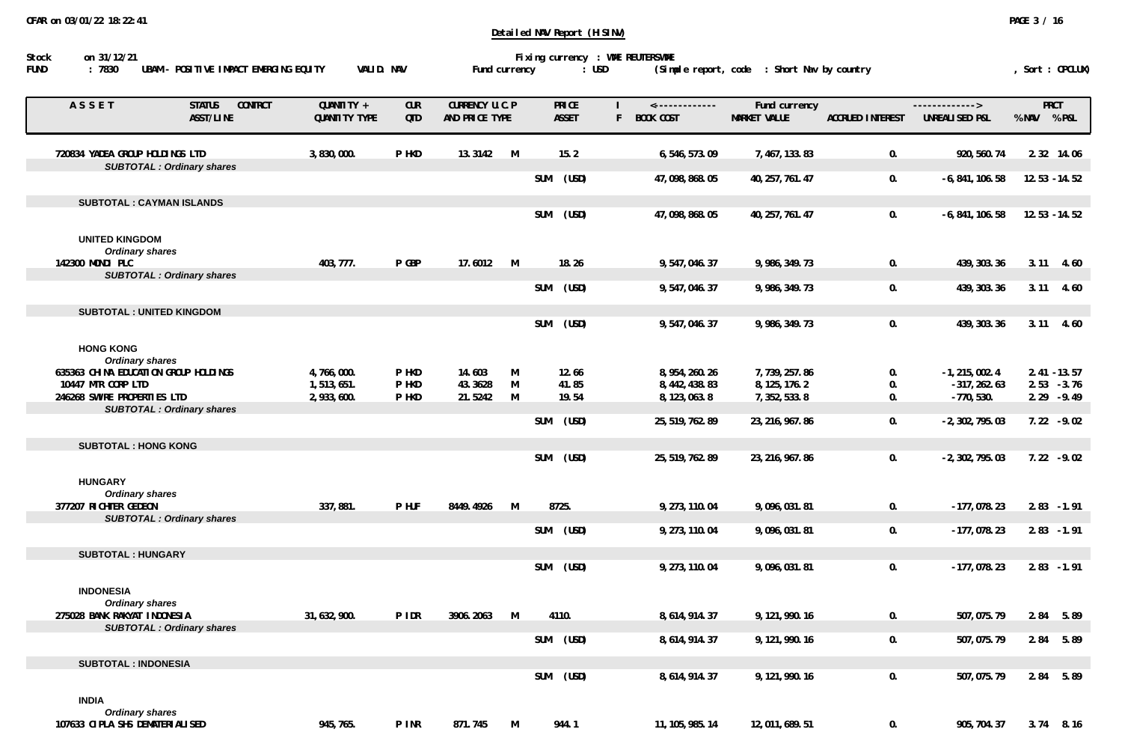| on 31/12/21<br>Stock                                        |                                              |                             |                          |                                  |        |                              | Detailed NAV Report (HISINV) | Fixing currency : WME REUTERSWME         |                                             |                         |                                    |                                 |
|-------------------------------------------------------------|----------------------------------------------|-----------------------------|--------------------------|----------------------------------|--------|------------------------------|------------------------------|------------------------------------------|---------------------------------------------|-------------------------|------------------------------------|---------------------------------|
| : 7830<br>FUND                                              | UBAM - POSITIVE IMPACT EMERGING EQUITY       | VALID. NAV                  |                          | Fund currency                    |        |                              | $:$ USD                      |                                          | (Simple report, code : Short Nav by country |                         |                                    | , Sort : OPCLUX)                |
| ASSET                                                       | <b>STATUS</b><br><b>CONTRCT</b><br>ASST/LINE | QUANTITY +<br>QUANTITY TYPE | <b>CUR</b><br><b>QTD</b> | CURRENCY U.C.P<br>AND PRICE TYPE |        | <b>PRICE</b><br><b>ASSET</b> |                              | <-------------<br><b>BOOK COST</b><br>F. | Fund currency<br>MARKET VALUE               | <b>ACCRUED INTEREST</b> | -------------><br>UNREALISED P&L   | <b>PRCT</b><br>% NAV % P&L      |
| 720834 YADEA GROUP HOLDINGS LTD                             |                                              | 3,830,000.                  | P HKD                    | 13.3142                          | M      | 15.2                         |                              | 6,546,573.09                             | 7,467,133.83                                | 0.                      | 920, 560. 74                       | 2.32 14.06                      |
|                                                             | <b>SUBTOTAL: Ordinary shares</b>             |                             |                          |                                  |        | SUM                          | (USD)                        | 47,098,868.05                            | 40, 257, 761. 47                            | 0.                      | $-6, 841, 106.58$                  | $12.53 - 14.52$                 |
|                                                             | <b>SUBTOTAL: CAYMAN ISLANDS</b>              |                             |                          |                                  |        | SUM                          | (USD)                        | 47,098,868.05                            | 40, 257, 761. 47                            | 0.                      | $-6, 841, 106.58$                  | $12.53 - 14.52$                 |
| <b>UNITED KINGDOM</b><br><b>Ordinary shares</b>             |                                              |                             |                          |                                  |        |                              |                              |                                          |                                             |                         |                                    |                                 |
| 142300 MONDI PLC                                            | <b>SUBTOTAL: Ordinary shares</b>             | 403, 777.                   | P GBP                    | 17.6012                          | M      |                              | 18.26                        | 9,547,046.37                             | 9,986,349.73                                | 0.                      | 439, 303. 36                       | $3.11$ 4.60                     |
|                                                             |                                              |                             |                          |                                  |        | <b>SUM</b>                   | (USD)                        | 9,547,046.37                             | 9,986,349.73                                | 0.                      | 439, 303. 36                       | $3.11$ 4.60                     |
|                                                             | <b>SUBTOTAL: UNITED KINGDOM</b>              |                             |                          |                                  |        |                              |                              |                                          |                                             |                         |                                    |                                 |
| <b>HONG KONG</b><br><b>Ordinary shares</b>                  |                                              |                             |                          |                                  |        | <b>SUM</b>                   | (USD)                        | 9,547,046.37                             | 9,986,349.73                                | 0.                      | 439, 303.36                        | $3.11$ 4.60                     |
| 635363 CHINA EDUCATION GROUP HOLDINGS<br>10447 MTR CORP LTD |                                              | 4,766,000.                  | P HKD<br>P HKD           | 14.603<br>43.3628                | M<br>M | 12.66<br>41.85               |                              | 8, 954, 260. 26<br>8, 442, 438.83        | 7,739,257.86<br>8, 125, 176. 2              | 0.<br>0.                | $-1, 215, 002.4$<br>$-317, 262.63$ | $2.41 - 13.57$<br>$2.53 - 3.76$ |
| 246268 SWIRE PROPERTIES LTD                                 |                                              | 1,513,651.<br>2,933,600.    | P HKD                    | 21.5242                          | M      | 19.54                        |                              | 8, 123, 063.8                            | 7, 352, 533.8                               | 0.                      | $-770,530.$                        | $2.29 - 9.49$                   |
|                                                             | <b>SUBTOTAL: Ordinary shares</b>             |                             |                          |                                  |        | SUM                          | (USD)                        | 25, 519, 762. 89                         | 23, 216, 967.86                             | 0.                      | $-2, 302, 795.03$                  | $7.22 - 9.02$                   |
| <b>SUBTOTAL: HONG KONG</b>                                  |                                              |                             |                          |                                  |        |                              |                              |                                          |                                             |                         |                                    |                                 |
| <b>HUNGARY</b><br><b>Ordinary shares</b>                    |                                              |                             |                          |                                  |        | <b>SUM</b>                   | (USD)                        | 25, 519, 762.89                          | 23, 216, 967.86                             | 0.                      | $-2, 302, 795.03$                  | $7.22 - 9.02$                   |
| 377207 RICHTER GEDEON                                       |                                              | 337, 881.                   | P HUF                    | 8449.4926                        | M      | 8725.                        |                              | 9, 273, 110.04                           | 9,096,031.81                                | 0.                      | $-177,078.23$                      | $2.83 - 1.91$                   |
|                                                             | <b>SUBTOTAL: Ordinary shares</b>             |                             |                          |                                  |        | SUM                          | (USD)                        | 9, 273, 110.04                           | 9,096,031.81                                | 0.                      | $-177,078.23$                      | $2.83 - 1.91$                   |
| <b>SUBTOTAL: HUNGARY</b>                                    |                                              |                             |                          |                                  |        |                              |                              |                                          |                                             |                         |                                    |                                 |
| <b>INDONESIA</b><br><b>Ordinary shares</b>                  |                                              |                             |                          |                                  |        | SUM                          | (USD)                        | 9.273.110.04                             | 9,096,031.81                                | 0.                      | $-177.078.23$                      | $2.83 - 1.91$                   |
| 275028 BANK RAKYAT INDONESIA                                | <b>SUBTOTAL: Ordinary shares</b>             | 31,632,900.                 | P IDR                    | 3906.2063                        | M      | 4110.                        |                              | 8, 614, 914. 37                          | 9, 121, 990. 16                             | 0.                      | 507, 075.79                        | 2.84<br>5.89                    |
|                                                             |                                              |                             |                          |                                  |        | SUM (USD)                    |                              | 8, 614, 914. 37                          | 9, 121, 990. 16                             | 0.                      | 507, 075.79                        | 2.84 5.89                       |
| <b>SUBTOTAL: INDONESIA</b>                                  |                                              |                             |                          |                                  |        |                              |                              |                                          | 9, 121, 990. 16                             |                         |                                    |                                 |
| <b>INDIA</b>                                                |                                              |                             |                          |                                  |        | <b>SUM</b>                   | (USD)                        | 8, 614, 914. 37                          |                                             | 0.                      | 507, 075.79                        | 2.84 5.89                       |

 **Ordinary shares**

 **107633 CIPLA SHS DEMATERIALISED 945,765. P INR 871.745 M 944.1 11,105,985.14 12,011,689.51 0. 905,704.37 3.74 8.16**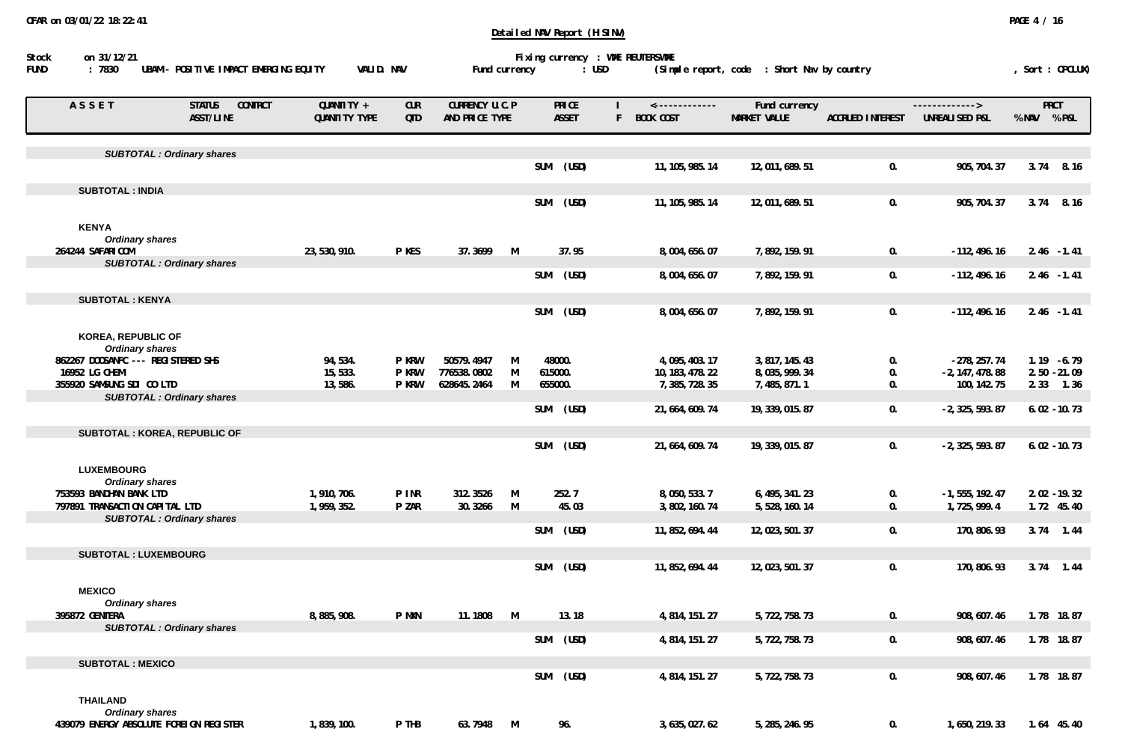| ASSET                                               | <b>STATUS</b><br><b>CONTRCT</b><br>ASST/LINE | QUANTITY +<br>QUANTITY TYPE | <b>CUR</b><br><b>QTD</b> | CURRENCY U.C.P<br>AND PRICE TYPE |        |            | <b>PRICE</b><br><b>ASSET</b> | <-------------<br>BOOK COST<br>F | Fund currency<br><b>MARKET VALUE</b> | <b>ACCRUED INTEREST</b> | $-----------$<br>UNREALISED P&L     | <b>PRCT</b><br>% NAV % P&L |                |
|-----------------------------------------------------|----------------------------------------------|-----------------------------|--------------------------|----------------------------------|--------|------------|------------------------------|----------------------------------|--------------------------------------|-------------------------|-------------------------------------|----------------------------|----------------|
|                                                     | <b>SUBTOTAL: Ordinary shares</b>             |                             |                          |                                  |        |            |                              |                                  |                                      |                         |                                     |                            |                |
|                                                     |                                              |                             |                          |                                  |        | SUM        | (USD)                        | 11, 105, 985. 14                 | 12,011,689.51                        | 0.                      | 905, 704.37                         | 3.74                       | 8.16           |
| <b>SUBTOTAL: INDIA</b>                              |                                              |                             |                          |                                  |        |            |                              |                                  |                                      |                         |                                     |                            |                |
|                                                     |                                              |                             |                          |                                  |        | SUM        | (USD)                        | 11, 105, 985. 14                 | 12,011,689.51                        | 0.                      | 905, 704.37                         | 3.74                       | 8.16           |
| <b>KENYA</b>                                        |                                              |                             |                          |                                  |        |            |                              |                                  |                                      |                         |                                     |                            |                |
| <b>Ordinary shares</b>                              |                                              |                             |                          |                                  |        |            |                              |                                  |                                      |                         |                                     |                            |                |
| 264244 SAFARICOM                                    |                                              | 23, 530, 910.               | P KES                    | 37.3699                          | M      |            | 37.95                        | 8,004,656.07                     | 7,892,159.91                         | 0.                      | $-112, 496.16$                      | $2.46 - 1.41$              |                |
|                                                     | <b>SUBTOTAL : Ordinary shares</b>            |                             |                          |                                  |        | SUM        | (USD)                        | 8,004,656.07                     | 7,892,159.91                         | 0.                      | $-112, 496.16$                      | $2.46 - 1.41$              |                |
|                                                     |                                              |                             |                          |                                  |        |            |                              |                                  |                                      |                         |                                     |                            |                |
| <b>SUBTOTAL: KENYA</b>                              |                                              |                             |                          |                                  |        |            |                              |                                  |                                      |                         |                                     |                            |                |
|                                                     |                                              |                             |                          |                                  |        | <b>SUM</b> | (USD)                        | 8,004,656.07                     | 7,892,159.91                         | 0.                      | $-112, 496.16$                      | $2.46 - 1.41$              |                |
| <b>KOREA, REPUBLIC OF</b>                           |                                              |                             |                          |                                  |        |            |                              |                                  |                                      |                         |                                     |                            |                |
| <b>Ordinary shares</b>                              |                                              |                             | <b>P KRW</b>             | 50579.4947                       |        |            |                              |                                  |                                      |                         |                                     | $1.19 - 6.79$              |                |
| 862267 DOOSANFC --- REGISTERED SHS<br>16952 LG CHEM |                                              | 94,534.<br>15,533.          | <b>P KRW</b>             | 776538.0802                      | M<br>M | 615000.    | 48000.                       | 4,095,403.17<br>10, 183, 478. 22 | 3, 817, 145. 43<br>8,035,999.34      | 0.<br>0.                | $-278, 257.74$<br>$-2, 147, 478.88$ | $2.50 - 21.09$             |                |
| 355920 SAMSUNG SDI CO LTD                           |                                              | 13,586.                     | <b>P KRW</b>             | 628645.2464                      | M      | 655000.    |                              | 7, 385, 728. 35                  | 7,485,871.1                          | 0.                      | 100, 142. 75                        | 2.33                       | 1.36           |
|                                                     | <b>SUBTOTAL: Ordinary shares</b>             |                             |                          |                                  |        |            |                              |                                  |                                      |                         |                                     |                            |                |
|                                                     |                                              |                             |                          |                                  |        | <b>SUM</b> | (USD)                        | 21, 664, 609. 74                 | 19, 339, 015.87                      | 0.                      | $-2, 325, 593.87$                   | $6.02 - 10.73$             |                |
|                                                     | <b>SUBTOTAL: KOREA, REPUBLIC OF</b>          |                             |                          |                                  |        |            |                              |                                  |                                      |                         |                                     |                            |                |
|                                                     |                                              |                             |                          |                                  |        | <b>SUM</b> | (USD)                        | 21, 664, 609. 74                 | 19, 339, 015.87                      | 0.                      | $-2, 325, 593.87$                   |                            | $6.02 - 10.73$ |
|                                                     |                                              |                             |                          |                                  |        |            |                              |                                  |                                      |                         |                                     |                            |                |
| <b>LUXEMBOURG</b><br><b>Ordinary shares</b>         |                                              |                             |                          |                                  |        |            |                              |                                  |                                      |                         |                                     |                            |                |
| 753593 BANDHAN BANK LTD                             |                                              | 1,910,706.                  | P INR                    | 312.3526                         | M      |            | 252.7                        | 8,050,533.7                      | 6, 495, 341. 23                      | 0.                      | $-1, 555, 192.47$                   |                            | $2.02 - 19.32$ |
| 797891 TRANSACTION CAPITAL LTD                      |                                              | 1,959,352.                  | P ZAR                    | 30.3266                          | M      |            | 45.03                        | 3, 802, 160. 74                  | 5,528,160.14                         | 0.                      | 1,725,999.4                         | 1.72 45.40                 |                |
|                                                     | <b>SUBTOTAL : Ordinary shares</b>            |                             |                          |                                  |        |            |                              |                                  |                                      |                         |                                     |                            |                |
|                                                     |                                              |                             |                          |                                  |        | <b>SUM</b> | (USD)                        | 11, 852, 694. 44                 | 12, 023, 501.37                      | 0.                      | 170, 806.93                         | $3.74$ 1.44                |                |
| <b>SUBTOTAL: LUXEMBOURG</b>                         |                                              |                             |                          |                                  |        |            |                              |                                  |                                      |                         |                                     |                            |                |
|                                                     |                                              |                             |                          |                                  |        | <b>SUM</b> | (USD)                        | 11, 852, 694. 44                 | 12, 023, 501.37                      | 0.                      | 170, 806.93                         | $3.74$ 1.44                |                |
|                                                     |                                              |                             |                          |                                  |        |            |                              |                                  |                                      |                         |                                     |                            |                |
| <b>MEXICO</b>                                       |                                              |                             |                          |                                  |        |            |                              |                                  |                                      |                         |                                     |                            |                |
| <b>Ordinary shares</b><br>395872 GENTERA            |                                              | 8,885,908.                  | P MXN                    | 11.1808                          | M      |            | 13.18                        | 4, 814, 151. 27                  | 5, 722, 758. 73                      | 0.                      | 908, 607.46                         | 1.78 18.87                 |                |
|                                                     | <b>SUBTOTAL: Ordinary shares</b>             |                             |                          |                                  |        |            |                              |                                  |                                      |                         |                                     |                            |                |
|                                                     |                                              |                             |                          |                                  |        | <b>SUM</b> | (USD)                        | 4, 814, 151. 27                  | 5, 722, 758. 73                      | 0.                      | 908, 607.46                         | 1.78 18.87                 |                |
| <b>SUBTOTAL: MEXICO</b>                             |                                              |                             |                          |                                  |        |            |                              |                                  |                                      |                         |                                     |                            |                |
|                                                     |                                              |                             |                          |                                  |        | SUM        | (USD)                        | 4, 814, 151. 27                  | 5,722,758.73                         | 0.                      | 908, 607.46                         | 1.78 18.87                 |                |
|                                                     |                                              |                             |                          |                                  |        |            |                              |                                  |                                      |                         |                                     |                            |                |
| <b>THAILAND</b>                                     |                                              |                             |                          |                                  |        |            |                              |                                  |                                      |                         |                                     |                            |                |
| <b>Ordinary shares</b>                              |                                              |                             |                          |                                  |        |            |                              |                                  |                                      |                         |                                     |                            |                |
| 439079 ENERGY ABSOLUTE FOREIGN REGISTER             |                                              | 1,839,100.                  | P THB                    | 63.7948 M                        |        |            | 96.                          | 3, 635, 027. 62                  | 5, 285, 246. 95                      | 0.                      | 1,650,219.33                        |                            | 1.64 45.40     |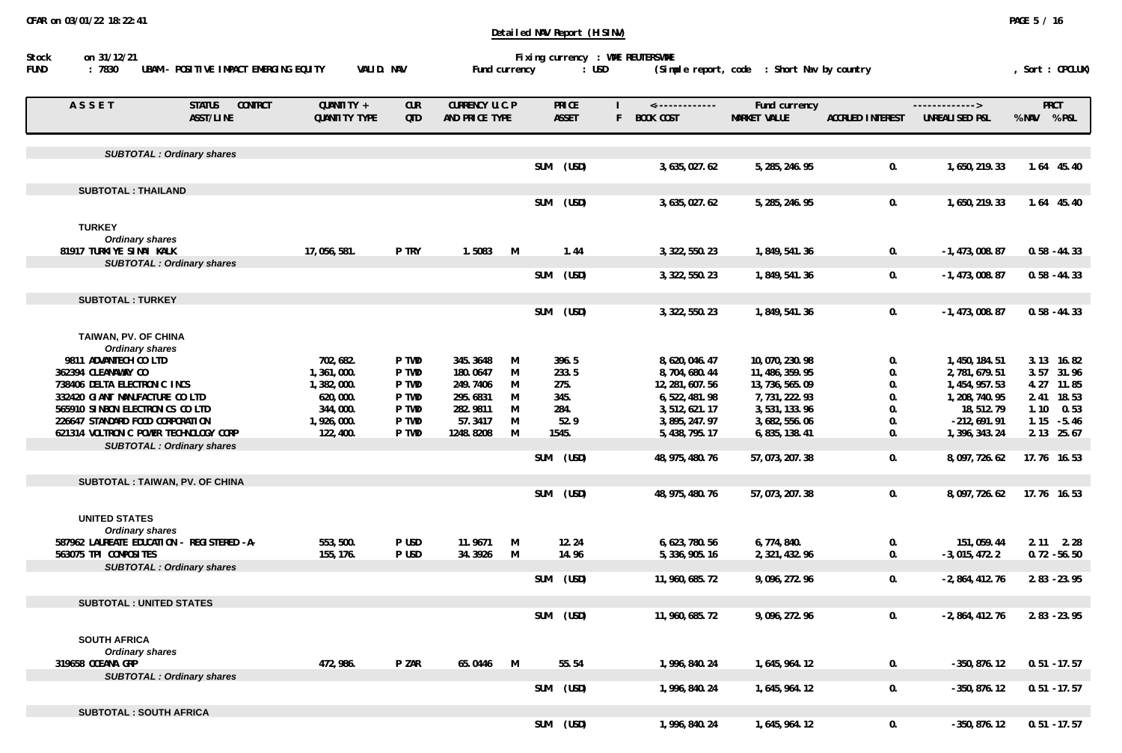| ASSET                                      | <b>CONTRCT</b><br><b>STATUS</b><br><b>ASST/LINE</b> | QUANTITY +<br>QUANTITY TYPE | <b>CUR</b><br><b>QTD</b> | CURRENCY U.C.P<br>AND PRICE TYPE |          |            | <b>PRICE</b><br><b>ASSET</b> | F | <-------------<br>BOOK COST | Fund currency<br><b>MARKET VALUE</b> | <b>ACCRUED INTEREST</b> | -------------><br>UNREALISED P&L | <b>PRCT</b><br>% NAV % P&L |
|--------------------------------------------|-----------------------------------------------------|-----------------------------|--------------------------|----------------------------------|----------|------------|------------------------------|---|-----------------------------|--------------------------------------|-------------------------|----------------------------------|----------------------------|
|                                            |                                                     |                             |                          |                                  |          |            |                              |   |                             |                                      |                         |                                  |                            |
|                                            | <b>SUBTOTAL: Ordinary shares</b>                    |                             |                          |                                  |          | <b>SUM</b> | (USD)                        |   | 3, 635, 027.62              | 5, 285, 246.95                       | 0.                      | 1,650,219.33                     | 1.64 45.40                 |
| <b>SUBTOTAL: THAILAND</b>                  |                                                     |                             |                          |                                  |          |            |                              |   |                             |                                      |                         |                                  |                            |
|                                            |                                                     |                             |                          |                                  |          | <b>SUM</b> | (USD)                        |   | 3, 635, 027.62              | 5, 285, 246.95                       | 0.                      | 1,650,219.33                     | 1.64 45.40                 |
|                                            |                                                     |                             |                          |                                  |          |            |                              |   |                             |                                      |                         |                                  |                            |
| <b>TURKEY</b>                              |                                                     |                             |                          |                                  |          |            |                              |   |                             |                                      |                         |                                  |                            |
| <b>Ordinary shares</b>                     |                                                     |                             | P TRY                    | 1.5083                           |          |            | 1.44                         |   |                             |                                      |                         |                                  |                            |
| 81917 TURKIYE SINAI KALK                   | <b>SUBTOTAL: Ordinary shares</b>                    | 17,056,581.                 |                          |                                  | M        |            |                              |   | 3, 322, 550. 23             | 1,849,541.36                         | 0.                      | $-1, 473, 008.87$                | $0.58 - 44.33$             |
|                                            |                                                     |                             |                          |                                  |          | <b>SUM</b> | (USD)                        |   | 3, 322, 550. 23             | 1,849,541.36                         | 0.                      | $-1, 473, 008.87$                | $0.58 - 44.33$             |
|                                            |                                                     |                             |                          |                                  |          |            |                              |   |                             |                                      |                         |                                  |                            |
| <b>SUBTOTAL: TURKEY</b>                    |                                                     |                             |                          |                                  |          |            |                              |   |                             |                                      |                         |                                  |                            |
|                                            |                                                     |                             |                          |                                  |          | <b>SUM</b> | (USD)                        |   | 3, 322, 550. 23             | 1,849,541.36                         | 0.                      | $-1, 473, 008.87$                | $0.58 - 44.33$             |
| TAIWAN, PV. OF CHINA                       |                                                     |                             |                          |                                  |          |            |                              |   |                             |                                      |                         |                                  |                            |
| <b>Ordinary shares</b>                     |                                                     |                             |                          |                                  |          |            |                              |   |                             |                                      |                         |                                  |                            |
| 9811 ADVANTECH CO LTD                      |                                                     | 702,682.                    | P TWD                    | 345.3648                         | M        |            | 396.5                        |   | 8,620,046.47                | 10,070,230.98                        | 0.                      | 1,450,184.51                     | 3.13 16.82                 |
| 362394 CLEANAWAY CO                        |                                                     | 1,361,000.                  | P TWD                    | 180.0647                         | M        |            | 233.5                        |   | 8,704,680.44                | 11, 486, 359. 95                     | 0.                      | 2,781,679.51                     | 3.57 31.96                 |
| 738406 DELTA ELECTRONIC INCS               |                                                     | 1,382,000.                  | P TWD                    | 249.7406                         | M        | 275.       |                              |   | 12, 281, 607. 56            | 13, 736, 565.09                      | 0.                      | 1, 454, 957.53                   | 4.27 11.85                 |
| 332420 GIANT MANUFACTURE CO LTD            |                                                     | 620,000.                    | P TWD                    | 295.6831                         | M        | 345.       |                              |   | 6, 522, 481.98              | 7,731,222.93                         | 0.                      | 1, 208, 740. 95                  | 2.41 18.53                 |
| 565910 SINBON ELECTRONICS CO LTD           |                                                     | 344,000.                    | P TWD                    | 282.9811                         | M        | 284.       |                              |   | 3, 512, 621. 17             | 3, 531, 133. 96                      | 0.                      | 18,512.79                        | 1.10<br>0.53               |
| 226647 STANDARD FOOD CORPORATION           |                                                     | 1,926,000.                  | P TWD                    | 57.3417                          | M        |            | 52.9                         |   | 3, 895, 247.97              | 3,682,556.06                         | 0.                      | $-212,691.91$                    | 1.15<br>$-5.46$            |
| 621314 VOLTRONIC POWER TECHNOLOGY CORP     |                                                     | 122, 400.                   | P TWD                    | 1248.8208                        | M        | 1545.      |                              |   | 5, 438, 795. 17             | 6, 835, 138.41                       | 0.                      | 1, 396, 343. 24                  | 2.13 25.67                 |
|                                            | <b>SUBTOTAL : Ordinary shares</b>                   |                             |                          |                                  |          |            |                              |   |                             |                                      |                         |                                  |                            |
|                                            |                                                     |                             |                          |                                  |          | <b>SUM</b> | (USD)                        |   | 48, 975, 480. 76            | 57, 073, 207.38                      | 0.                      | 8,097,726.62                     | 17.76 16.53                |
| SUBTOTAL : TAIWAN, PV. OF CHINA            |                                                     |                             |                          |                                  |          |            |                              |   |                             |                                      |                         |                                  |                            |
|                                            |                                                     |                             |                          |                                  |          | <b>SUM</b> | (USD)                        |   | 48, 975, 480. 76            | 57, 073, 207.38                      | 0.                      | 8,097,726.62                     | 17.76 16.53                |
|                                            |                                                     |                             |                          |                                  |          |            |                              |   |                             |                                      |                         |                                  |                            |
| <b>UNITED STATES</b>                       |                                                     |                             |                          |                                  |          |            |                              |   |                             |                                      |                         |                                  |                            |
| <b>Ordinary shares</b>                     |                                                     |                             |                          |                                  |          |            |                              |   |                             |                                      |                         |                                  |                            |
| 587962 LAUREATE EDUCATION - REGISTERED -A- |                                                     | 553, 500.                   | P USD                    | 11.9671                          | M        |            | 12.24                        |   | 6, 623, 780. 56             | 6,774,840.                           | 0.                      | 151, 059.44                      | $2.11$ $2.28$              |
| 563075 TPI COMPOSITES                      |                                                     | 155, 176.                   | P USD                    | 34.3926                          | M        |            | 14.96                        |   | 5, 336, 905. 16             | 2, 321, 432. 96                      | 0.                      | $-3,015,472.2$                   | $0.72 - 56.50$             |
|                                            | <b>SUBTOTAL: Ordinary shares</b>                    |                             |                          |                                  |          |            |                              |   |                             |                                      |                         |                                  |                            |
|                                            |                                                     |                             |                          |                                  |          | <b>SUM</b> | (USD)                        |   | 11, 960, 685. 72            | 9,096,272.96                         | 0.                      | $-2,864,412.76$                  | $2.83 - 23.95$             |
|                                            |                                                     |                             |                          |                                  |          |            |                              |   |                             |                                      |                         |                                  |                            |
| <b>SUBTOTAL: UNITED STATES</b>             |                                                     |                             |                          |                                  |          | <b>SUM</b> | (USD)                        |   | 11, 960, 685. 72            | 9,096,272.96                         | 0.                      | $-2,864,412.76$                  | $2.83 - 23.95$             |
|                                            |                                                     |                             |                          |                                  |          |            |                              |   |                             |                                      |                         |                                  |                            |
| <b>SOUTH AFRICA</b>                        |                                                     |                             |                          |                                  |          |            |                              |   |                             |                                      |                         |                                  |                            |
| <b>Ordinary shares</b>                     |                                                     |                             |                          |                                  |          |            |                              |   |                             |                                      |                         |                                  |                            |
| 319658 OCEANA GRP                          |                                                     | 472, 986.                   | P ZAR                    | 65.0446                          | <b>M</b> |            | 55.54                        |   | 1,996,840.24                | 1, 645, 964. 12                      | 0.                      | $-350, 876.12$                   | $0.51 - 17.57$             |
|                                            | <b>SUBTOTAL: Ordinary shares</b>                    |                             |                          |                                  |          |            |                              |   |                             |                                      |                         |                                  |                            |
|                                            |                                                     |                             |                          |                                  |          | <b>SUM</b> | (USD)                        |   | 1,996,840.24                | 1, 645, 964. 12                      | 0.                      | $-350, 876.12$                   | $0.51 - 17.57$             |
|                                            |                                                     |                             |                          |                                  |          |            |                              |   |                             |                                      |                         |                                  |                            |
| <b>SUBTOTAL: SOUTH AFRICA</b>              |                                                     |                             |                          |                                  |          | <b>SUM</b> | (USD)                        |   | 1,996,840.24                | 1, 645, 964. 12                      | 0.                      | $-350, 876.12$                   | $0.51 - 17.57$             |
|                                            |                                                     |                             |                          |                                  |          |            |                              |   |                             |                                      |                         |                                  |                            |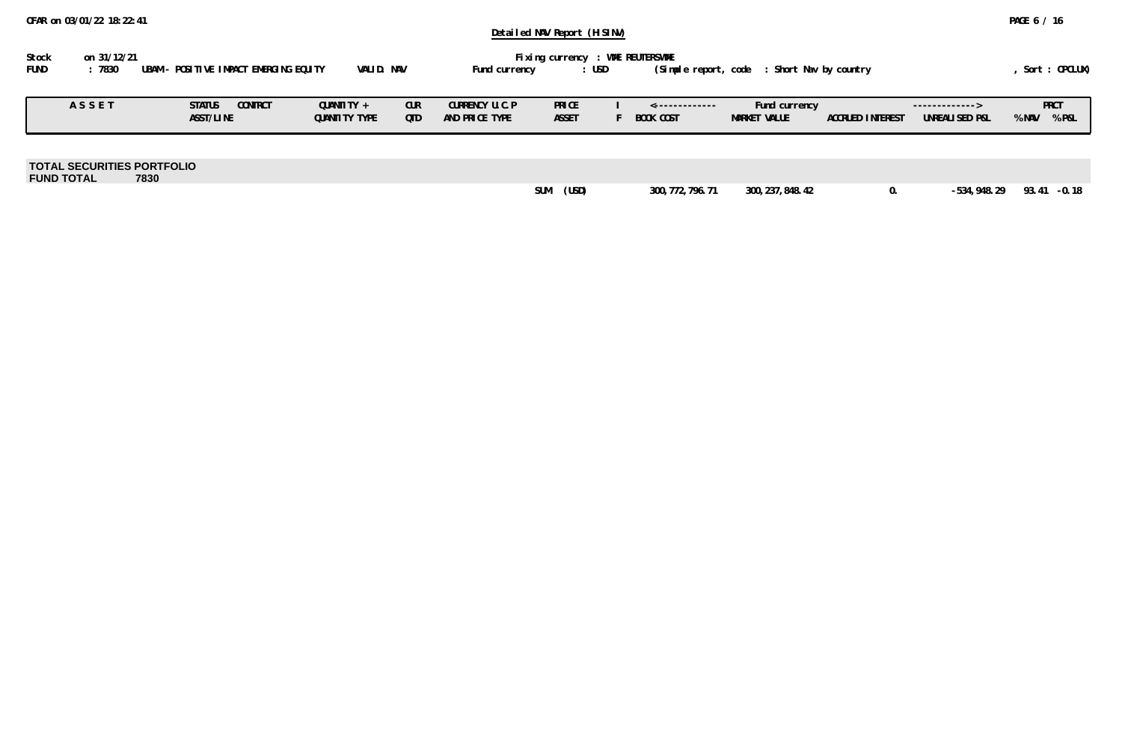| Stock       | on 31/12/21 |                                        |            | Fixing currency : WME REUTERSWME |       |                                               |                |
|-------------|-------------|----------------------------------------|------------|----------------------------------|-------|-----------------------------------------------|----------------|
| <b>FUND</b> | 7830        | UBAM – POSITIVE IMPACT EMERGING EQUITY | VALID. NAV | Fund currency                    | : USD | (Simple report, code   : Short Nav by country | Sort : OPCLUX) |

| ASSET | <b>CONTRCT</b><br><b>STATUS</b><br>ASST/LINE | <b>QUANTITY</b><br>QUANTITY TYPE | <b>CUR</b><br><b>QTD</b> | CURRENCY U.C.P<br>AND PRICE TYPE | PRICE<br><b>ASSET</b> | $\leftarrow$ -------------<br><b>BOOK COST</b> | Fund currency<br><b>MARKET VALUE</b> | <b>ACCRUED INTEREST</b> | -------------><br>UNREALISED P&L | % NAV | <b>PRCT</b><br>$\sqrt{PgL}$ |
|-------|----------------------------------------------|----------------------------------|--------------------------|----------------------------------|-----------------------|------------------------------------------------|--------------------------------------|-------------------------|----------------------------------|-------|-----------------------------|
|       |                                              |                                  |                          |                                  |                       |                                                |                                      |                         |                                  |       |                             |

| <b>TOTAL SECURITIES PORTFOLIO</b><br><b>FUND TOTAL</b> | 7830 |            |       |                   |                   |               |             |
|--------------------------------------------------------|------|------------|-------|-------------------|-------------------|---------------|-------------|
|                                                        |      | <b>SUM</b> | (USD) | 300, 772, 796. 71 | 300, 237, 848. 42 | $-534,948.29$ | 93.41<br>10 |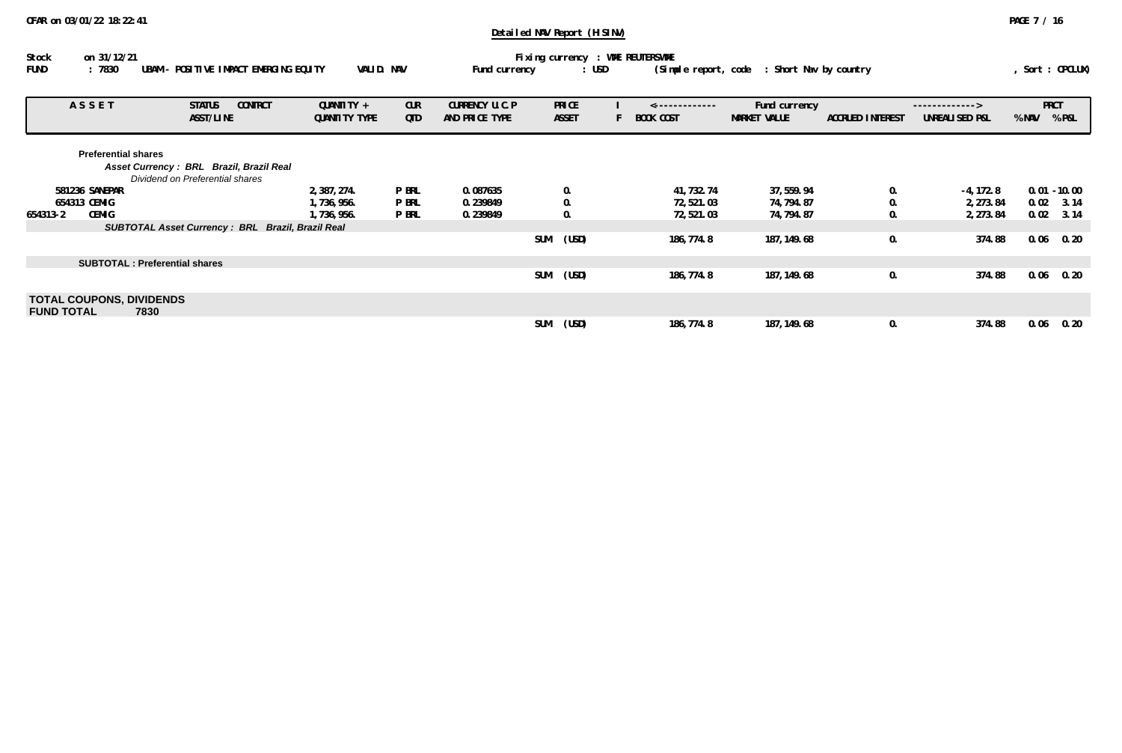| Stock                                                | on 31/12/21                                                                                              |                             |                   |                                  | Fixing currency : WME REUTERSWME |                             |                               |                         |                                  |       |                      |
|------------------------------------------------------|----------------------------------------------------------------------------------------------------------|-----------------------------|-------------------|----------------------------------|----------------------------------|-----------------------------|-------------------------------|-------------------------|----------------------------------|-------|----------------------|
| :7830<br><b>FUND</b>                                 | UBAM<br>- POSITIVE IMPACT EMERGING EQUITY                                                                | VALID. NAV                  |                   | Fund currency                    | $:$ USD                          | (Simple report, code        | : Short Nav by country        |                         |                                  |       | Sort: OPCLUX)        |
| ASSET                                                | <b>CONTRCT</b><br><b>STATUS</b><br>ASST/LINE                                                             | QUANTITY +<br>QUANTITY TYPE | <b>CUR</b><br>QTD | CURRENCY U.C.P<br>AND PRICE TYPE | <b>PRICE</b><br><b>ASSET</b>     | --------------<br>BOOK COST | Fund currency<br>MARKET VALUE | <b>ACCRUED INTEREST</b> | -------------><br>UNREALISED P&L | % NAV | <b>PRCT</b><br>% P&L |
|                                                      | <b>Preferential shares</b><br>Asset Currency: BRL Brazil, Brazil Real<br>Dividend on Preferential shares |                             |                   |                                  |                                  |                             |                               |                         |                                  |       |                      |
| 581236 SANEPAR                                       |                                                                                                          | 2,387,274.                  | <b>P BRL</b>      | 0.087635                         | 0.                               | 41, 732. 74                 | 37, 559.94                    | 0.                      | $-4, 172.8$                      |       | $0.01 - 10.00$       |
| 654313 CEMIG                                         |                                                                                                          | 1,736,956.                  | <b>P BRL</b>      | 0.239849                         | $\mathbf{0}$ .                   | 72, 521.03                  | 74, 794. 87                   | 0.                      | 2, 273.84                        | 0.02  | 3.14                 |
| <b>CEMIG</b><br>654313-2                             |                                                                                                          | 1,736,956.                  | P BRL             | 0.239849                         | 0.                               | 72,521.03                   | 74, 794. 87                   | 0.                      | 2, 273.84                        | 0.02  | 3.14                 |
|                                                      | <b>SUBTOTAL Asset Currency: BRL Brazil, Brazil Real</b>                                                  |                             |                   |                                  |                                  |                             |                               |                         |                                  |       |                      |
|                                                      |                                                                                                          |                             |                   |                                  | (USD)<br>SUM                     | 186, 774.8                  | 187, 149. 68                  | 0.                      | 374.88                           | 0.06  | 0.20                 |
|                                                      | <b>SUBTOTAL: Preferential shares</b>                                                                     |                             |                   |                                  |                                  |                             |                               |                         |                                  |       |                      |
|                                                      |                                                                                                          |                             |                   |                                  | <b>SUM</b><br>(USD)              | 186, 774.8                  | 187, 149. 68                  | 0.                      | 374.88                           | 0.06  | 0.20                 |
| <b>TOTAL COUPONS, DIVIDENDS</b><br><b>FUND TOTAL</b> | 7830                                                                                                     |                             |                   |                                  |                                  |                             |                               |                         |                                  |       |                      |
|                                                      |                                                                                                          |                             |                   |                                  | SUM<br>(USD)                     | 186, 774.8                  | 187, 149. 68                  | 0.                      | 374.88                           | 0.06  | 0.20                 |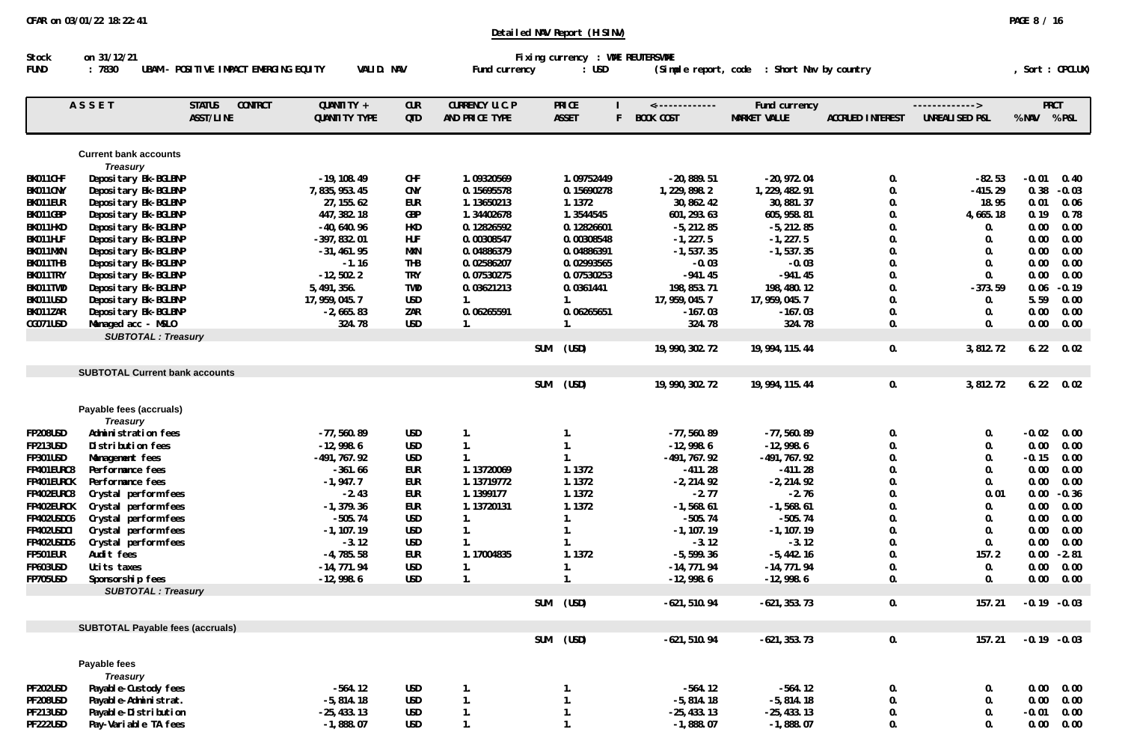| Stock                | on 31/12/21                                     |                                                     |                                |                   |                                  |            | Fixing currency : WME REUTERSWME   |                                        |                                      |                         |                                  |              |                 |
|----------------------|-------------------------------------------------|-----------------------------------------------------|--------------------------------|-------------------|----------------------------------|------------|------------------------------------|----------------------------------------|--------------------------------------|-------------------------|----------------------------------|--------------|-----------------|
| FUND                 | :7830                                           | UBAM - POSITIVE IMPACT EMERGING EQUITY              | VALID. NAV                     |                   | Fund currency                    |            | : <b>USD</b>                       | (Simple report, code                   | : Short Nav by country               |                         |                                  |              | Sort : OPCLUX)  |
|                      | ASSET                                           | <b>STATUS</b><br><b>CONTRCT</b><br><b>ASST/LINE</b> | QUANTITY +<br>QUANTITY TYPE    | <b>CUR</b><br>QTD | CURRENCY U.C.P<br>AND PRICE TYPE |            | <b>PRICE</b><br><b>ASSET</b><br>F. | $\leftarrow$ ------------<br>BOOK COST | Fund currency<br><b>MARKET VALUE</b> | <b>ACCRUED INTEREST</b> | -------------><br>UNREALISED P&L | % NAV % P&L  | <b>PRCT</b>     |
|                      |                                                 |                                                     |                                |                   |                                  |            |                                    |                                        |                                      |                         |                                  |              |                 |
|                      | <b>Current bank accounts</b><br><b>Treasury</b> |                                                     |                                |                   |                                  |            |                                    |                                        |                                      |                         |                                  |              |                 |
| BK011CHF             | Depositary Bk-BGLBNP                            |                                                     | $-19, 108.49$                  | CHF               | 1.09320569                       |            | 1.09752449                         | $-20,889.51$                           | $-20,972.04$                         | 0.                      | $-82.53$                         | $-0.01$      | 0.40            |
| BK011CNY             | Depositary Bk-BGLBNP                            |                                                     | 7,835,953.45                   | <b>CNY</b>        | 0.15695578                       |            | 0.15690278                         | 1, 229, 898.2                          | 1, 229, 482. 91                      | 0.                      | $-415.29$                        | 0.38         | $-0.03$         |
| BK011EUR             | Depositary Bk-BGLBNP                            |                                                     | 27, 155.62                     | <b>EUR</b>        | 1.13650213                       |            | 1.1372                             | 30, 862. 42                            | 30, 881.37                           | 0.                      | 18.95                            | 0.01         | 0.06            |
| BK011GBP             | Depositary Bk-BGLBNP                            |                                                     | 447, 382. 18                   | GBP               | 1.34402678                       |            | 1.3544545                          | 601, 293. 63                           | 605, 958.81                          | $\mathbf{0}$ .          | 4,665.18                         | 0.19         | 0.78            |
| BK011HKD             | Depositary Bk-BGLBNP                            |                                                     | $-40,640.96$                   | HKD               | 0.12826592                       |            | 0.12826601                         | $-5, 212.85$                           | $-5, 212.85$                         | 0.                      | 0.                               | 0.00         | 0.00            |
| BK011HUF             | Depositary Bk-BGLBNP                            |                                                     | $-397, 832.01$                 | <b>HUF</b>        | 0.00308547                       |            | 0.00308548                         | $-1, 227.5$                            | $-1, 227.5$                          | 0.                      | 0.                               | 0.00         | 0.00            |
| BK011MXN             | Depositary Bk-BGLBNP                            |                                                     | $-31, 461.95$                  | MXN               | 0.04886379                       |            | 0.04886391                         | $-1, 537.35$                           | $-1, 537.35$                         | 0.                      | 0.                               | 0.00         | 0.00            |
| BK011THB             | Depositary Bk-BGLBNP                            |                                                     | $-1.16$                        | THB               | 0.02586207                       |            | 0.02993565                         | $-0.03$                                | $-0.03$                              | 0.                      | 0.                               | 0.00         | 0.00            |
| BK011TRY             | Depositary Bk-BGLBNP                            |                                                     | $-12, 502.2$                   | <b>TRY</b>        | 0.07530275                       |            | 0.07530253                         | $-941.45$                              | $-941.45$                            | 0.                      | 0.                               | 0.00         | 0.00            |
| BK011TWD             | Depositary Bk-BGLBNP<br>Depositary Bk-BGLBNP    |                                                     | 5, 491, 356.<br>17, 959, 045.7 | TWD<br><b>USD</b> | 0.03621213                       |            | 0.0361441                          | 198, 853. 71                           | 198, 480. 12<br>17, 959, 045.7       | 0.<br>0.                | $-373.59$                        | 0.06<br>5.59 | $-0.19$<br>0.00 |
| BK011USD<br>BK011ZAR |                                                 |                                                     | $-2,665.83$                    | ZAR               | 1.<br>0.06265591                 |            | 1.<br>0.06265651                   | 17, 959, 045. 7<br>$-167.03$           | $-167.03$                            | 0.                      | 0.                               | 0.00         | 0.00            |
| CG071USD             | Depositary Bk-BGLBNP<br>Managed acc - MSLO      |                                                     | 324.78                         | <b>USD</b>        | 1.                               |            | 1.                                 | 324.78                                 | 324.78                               | 0.                      | 0.<br>0.                         | 0.00         | 0.00            |
|                      | <b>SUBTOTAL: Treasury</b>                       |                                                     |                                |                   |                                  |            |                                    |                                        |                                      |                         |                                  |              |                 |
|                      |                                                 |                                                     |                                |                   |                                  | <b>SUM</b> | (USD)                              | 19, 990, 302. 72                       | 19, 994, 115. 44                     | 0.                      | 3,812.72                         | 6.22         | 0.02            |
|                      | <b>SUBTOTAL Current bank accounts</b>           |                                                     |                                |                   |                                  |            |                                    |                                        |                                      |                         |                                  |              |                 |
|                      |                                                 |                                                     |                                |                   |                                  | <b>SUM</b> | (USD)                              | 19, 990, 302. 72                       | 19, 994, 115. 44                     | 0.                      | 3,812.72                         | 6.22         | 0.02            |
|                      | Payable fees (accruals)                         |                                                     |                                |                   |                                  |            |                                    |                                        |                                      |                         |                                  |              |                 |
|                      | <b>Treasury</b>                                 |                                                     |                                |                   |                                  |            |                                    |                                        |                                      |                         |                                  |              |                 |
| <b>FP208USD</b>      | Administration fees                             |                                                     | $-77,560.89$                   | <b>USD</b>        | 1.                               |            | 1.                                 | $-77,560.89$                           | $-77,560.89$                         | $\mathbf{0}$ .          | 0.                               | $-0.02$      | 0.00            |
| <b>FP213USD</b>      | Distribution fees                               |                                                     | $-12,998.6$                    | <b>USD</b>        | 1.                               |            | 1.                                 | $-12,998.6$                            | $-12,998.6$                          | 0.                      | 0.                               | 0.00         | 0.00            |
| <b>FP301USD</b>      | Management fees                                 |                                                     | $-491, 767.92$                 | <b>USD</b>        | 1.                               |            | 1.                                 | $-491, 767.92$                         | $-491, 767.92$                       | 0.                      | 0.                               | $-0.15$      | 0.00            |
| FP401EURC8           | Performance fees                                |                                                     | $-361.66$                      | EUR               | 1.13720069                       |            | 1.1372                             | $-411.28$                              | $-411.28$                            | 0.                      | 0.                               | 0.00         | 0.00            |
| FP401EURCK           | Performance fees                                |                                                     | $-1, 947.7$                    | EUR               | 1.13719772                       |            | 1.1372                             | $-2, 214.92$                           | $-2, 214.92$                         | 0.                      | 0.                               | 0.00         | 0.00            |
| FP402EURC8           | Crystal perform fees                            |                                                     | $-2.43$                        | <b>EUR</b>        | 1.1399177                        |            | 1.1372                             | $-2.77$                                | $-2.76$                              | 0.                      | 0.01                             | 0.00         | $-0.36$         |
| FP402EURCK           | Crystal perform fees                            |                                                     | $-1, 379.36$                   | eur               | 1.13720131                       |            | 1.1372                             | $-1, 568.61$                           | $-1, 568.61$                         | 0.                      | 0.                               | 0.00         | 0.00            |
| FP402USDC6           | Crystal perform fees                            |                                                     | $-505.74$                      | <b>USD</b>        | 1.                               |            | 1.                                 | $-505.74$                              | $-505.74$                            | 0.                      | 0.                               | 0.00         | 0.00            |
| FP402USDCI           | Crystal perform fees                            |                                                     | $-1, 107.19$                   | <b>USD</b>        | 1.                               |            | 1.                                 | $-1, 107.19$                           | $-1, 107.19$                         | 0.                      | 0.                               | 0.00         | 0.00            |
| FP402USDD6           | Crystal perform fees                            |                                                     | $-3.12$                        | USD               | 1.                               |            | 1.                                 | $-3.12$                                | $-3.12$                              | 0.                      | 0.                               | 0.00         | 0.00            |
| FP501EUR             | Audit fees                                      |                                                     | $-4,785.58$                    | EUR               | 1.17004835                       |            | 1.1372                             | $-5,599.36$                            | $-5,442.16$                          | 0.                      | 157.2                            | 0.00         | $-2.81$         |
| <b>FP603USD</b>      | Ucits taxes                                     |                                                     | $-14, 771.94$                  | <b>USD</b>        | 1.                               |            | 1.                                 | $-14, 771.94$                          | $-14, 771.94$                        | 0.                      | 0.                               | 0.00         | 0.00            |
| <b>FP705USD</b>      | Sponsorship fees<br><b>SUBTOTAL: Treasury</b>   |                                                     | $-12,998.6$                    | <b>USD</b>        | $\mathbf{1}$ .                   |            | 1.                                 | $-12,998.6$                            | $-12,998.6$                          | 0.                      | $\mathbf{0}$ .                   | 0.00         | 0.00            |
|                      |                                                 |                                                     |                                |                   |                                  | <b>SUM</b> | (USD)                              | $-621, 510.94$                         | $-621, 353.73$                       | 0.                      | 157.21                           |              | $-0.19 - 0.03$  |
|                      | <b>SUBTOTAL Payable fees (accruals)</b>         |                                                     |                                |                   |                                  |            |                                    |                                        |                                      |                         |                                  |              |                 |
|                      |                                                 |                                                     |                                |                   |                                  | <b>SUM</b> | (USD)                              | $-621, 510.94$                         | $-621, 353.73$                       | 0.                      | 157.21                           |              | $-0.19 - 0.03$  |
|                      | Payable fees                                    |                                                     |                                |                   |                                  |            |                                    |                                        |                                      |                         |                                  |              |                 |
|                      | <b>Treasury</b>                                 |                                                     |                                |                   |                                  |            |                                    |                                        |                                      |                         |                                  |              |                 |
| <b>PF202USD</b>      | Payable-Custody fees                            |                                                     | $-564.12$                      | USD               | $\mathbf{1}$ .                   |            | 1.                                 | $-564.12$                              | $-564.12$                            | $\mathbf{0}$ .          | 0.                               | 0.00         | 0.00            |
| <b>PF208USD</b>      | Payable-Administrat.                            |                                                     | $-5,814.18$                    | <b>USD</b>        | 1.                               |            | 1.                                 | $-5,814.18$                            | $-5,814.18$                          | 0.                      | 0.                               | 0.00         | 0.00            |
| <b>PF213USD</b>      | Payable-Distribution                            |                                                     | $-25, 433.13$                  | USD               | 1.                               |            | 1.                                 | $-25, 433.13$                          | $-25, 433.13$                        | 0.                      | 0.                               | $-0.01$      | 0.00            |
| PF222USD             | Pay-Variable TA fees                            |                                                     | $-1,888.07$                    | <b>USD</b>        | 1.                               |            | 1.                                 | $-1,888.07$                            | $-1,888.07$                          | 0.                      | 0.                               |              | 0.00 0.00       |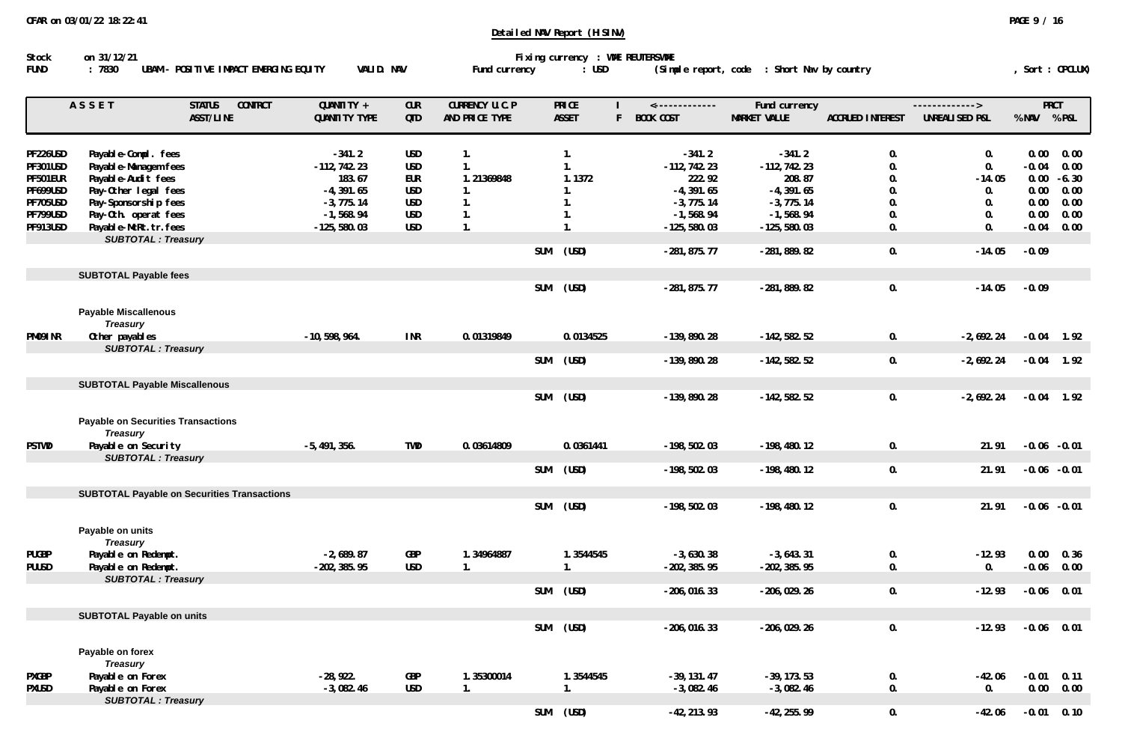| Stock       | on 31/12/21                                     |            |               | Fixing currency : WME REUTERSWME |                                             |                |
|-------------|-------------------------------------------------|------------|---------------|----------------------------------|---------------------------------------------|----------------|
| <b>FUND</b> | UBAM – POSITIVE IMPACT EMERGING EQUITY<br>:7830 | VALID. NAV | Fund currency | : USD                            | (Simple report, code : Short Nav by country | Sort : OPCLUX) |

|                 | ASSET                                                        | <b>CONTRCT</b><br><b>STATUS</b>                    | QUANTITY +       | <b>CUR</b> | CURRENCY U.C.P |            | <b>PRICE</b> | --------------         | Fund currency  |                         | -------------> | <b>PRCT</b> |                |
|-----------------|--------------------------------------------------------------|----------------------------------------------------|------------------|------------|----------------|------------|--------------|------------------------|----------------|-------------------------|----------------|-------------|----------------|
|                 |                                                              | ASST/LINE                                          | QUANTITY TYPE    | <b>QTD</b> | AND PRICE TYPE |            | <b>ASSET</b> | <b>BOOK COST</b><br>F. | MARKET VALUE   | <b>ACCRUED INTEREST</b> | UNREALISED P&L | % NAV       | % P&L          |
| PF226USD        | Payable-Compl. fees                                          |                                                    | $-341.2$         | <b>USD</b> | $\mathbf{1}$ . |            | 1.           | $-341.2$               | $-341.2$       | $\mathbf{0}$ .          | 0.             | 0.00        | 0.00           |
| <b>PF301USD</b> | Payable-Managem fees                                         |                                                    | $-112, 742.23$   | USD        | 1.             |            | 1.           | $-112, 742.23$         | $-112, 742.23$ | 0.                      | 0.             | $-0.04$     | 0.00           |
| PF501EUR        | Payable-Audit fees                                           |                                                    | 183.67           | <b>EUR</b> | 1.21369848     |            | 1.1372       | 222.92                 | 208.87         | 0.                      | $-14.05$       | 0.00        | $-6.30$        |
| PF699USD        | Pay-Other legal fees                                         |                                                    | $-4, 391.65$     | <b>USD</b> | 1.             |            | 1.           | $-4, 391.65$           | $-4, 391.65$   | $\mathbf{0}$ .          | 0.             | 0.00        | 0.00           |
| <b>PF705USD</b> | Pay-Sponsorship fees                                         |                                                    | $-3,775.14$      | USD        | 1.             |            | 1.           | $-3,775.14$            | $-3, 775.14$   | 0.                      | 0.             | 0.00        | 0.00           |
| PF799USD        | Pay-Oth. operat fees                                         |                                                    | $-1,568.94$      | USD        | 1.             |            | 1.           | $-1, 568.94$           | $-1, 568.94$   | 0.                      | 0.             | 0.00        | 0.00           |
| PF913USD        | Payable-McRt.tr.fees                                         |                                                    | $-125,580.03$    | <b>USD</b> | 1.             |            | 1.           | $-125,580.03$          | $-125, 580.03$ | 0.                      | 0.             | $-0.04$     | 0.00           |
|                 | <b>SUBTOTAL: Treasury</b>                                    |                                                    |                  |            |                |            |              |                        |                |                         |                |             |                |
|                 |                                                              |                                                    |                  |            |                | <b>SUM</b> | (USD)        | $-281, 875.77$         | $-281, 889.82$ | 0.                      | $-14.05$       | $-0.09$     |                |
|                 | <b>SUBTOTAL Payable fees</b>                                 |                                                    |                  |            |                |            |              |                        |                |                         |                |             |                |
|                 |                                                              |                                                    |                  |            |                | <b>SUM</b> | (USD)        | $-281, 875.77$         | $-281, 889.82$ | 0.                      | $-14.05$       | $-0.09$     |                |
|                 | <b>Payable Miscallenous</b><br><b>Treasury</b>               |                                                    |                  |            |                |            |              |                        |                |                         |                |             |                |
| PM091NR         | Other payables                                               |                                                    | $-10, 598, 964.$ | <b>INR</b> | 0.01319849     |            | 0.0134525    | -139, 890. 28          | $-142, 582.52$ | 0.                      | $-2,692.24$    | $-0.04$     | 1.92           |
|                 | <b>SUBTOTAL: Treasury</b>                                    |                                                    |                  |            |                | <b>SUM</b> | (USD)        | $-139,890.28$          | $-142, 582.52$ | 0.                      | $-2,692.24$    | $-0.04$     | 1.92           |
|                 |                                                              |                                                    |                  |            |                |            |              |                        |                |                         |                |             |                |
|                 | <b>SUBTOTAL Payable Miscallenous</b>                         |                                                    |                  |            |                |            |              |                        |                |                         |                |             |                |
|                 |                                                              |                                                    |                  |            |                | <b>SUM</b> | (USD)        | $-139,890.28$          | $-142, 582.52$ | 0.                      | $-2,692.24$    |             | $-0.04$ 1.92   |
|                 | <b>Payable on Securities Transactions</b><br><b>Treasury</b> |                                                    |                  |            |                |            |              |                        |                |                         |                |             |                |
| <b>PSTWD</b>    | Payable on Security                                          |                                                    | $-5,491,356.$    | <b>TWD</b> | 0.03614809     |            | 0.0361441    | $-198, 502.03$         | $-198, 480.12$ | 0.                      | 21.91          |             | $-0.06 - 0.01$ |
|                 | <b>SUBTOTAL: Treasury</b>                                    |                                                    |                  |            |                |            |              |                        |                |                         |                |             |                |
|                 |                                                              |                                                    |                  |            |                | <b>SUM</b> | (USD)        | $-198, 502.03$         | $-198, 480.12$ | 0.                      | 21.91          |             | $-0.06 - 0.01$ |
|                 |                                                              | <b>SUBTOTAL Payable on Securities Transactions</b> |                  |            |                |            |              |                        |                |                         |                |             |                |
|                 |                                                              |                                                    |                  |            |                | <b>SUM</b> | (USD)        | $-198, 502.03$         | $-198,480.12$  | 0.                      | 21.91          |             | $-0.06 - 0.01$ |
|                 | Payable on units<br><b>Treasury</b>                          |                                                    |                  |            |                |            |              |                        |                |                         |                |             |                |
| <b>PUGBP</b>    | Payable on Redempt.                                          |                                                    | $-2,689.87$      | GBP        | 1.34964887     |            | 1.3544545    | $-3,630.38$            | $-3,643.31$    | 0.                      | $-12.93$       | 0.00        | 0.36           |
| <b>PUUSD</b>    | Payable on Redempt.                                          |                                                    | $-202, 385.95$   | <b>USD</b> | 1.             |            | 1.           | $-202, 385.95$         | $-202, 385.95$ | 0.                      | 0.             | $-0.06$     | 0.00           |
|                 | <b>SUBTOTAL: Treasury</b>                                    |                                                    |                  |            |                |            |              |                        |                |                         |                |             |                |
|                 |                                                              |                                                    |                  |            |                | <b>SUM</b> | (USD)        | $-206, 016.33$         | $-206, 029.26$ | 0.                      | $-12.93$       | $-0.06$     | 0.01           |
|                 | <b>SUBTOTAL Payable on units</b>                             |                                                    |                  |            |                |            |              |                        |                |                         |                |             |                |
|                 |                                                              |                                                    |                  |            |                | <b>SUM</b> | (USD)        | $-206, 016.33$         | $-206, 029.26$ | 0.                      | $-12.93$       | $-0.06$     | 0.01           |
|                 | Payable on forex<br><b>Treasury</b>                          |                                                    |                  |            |                |            |              |                        |                |                         |                |             |                |
| <b>PXGBP</b>    | Payable on Forex                                             |                                                    | $-28,922.$       | GBP        | 1.35300014     |            | 1.3544545    | $-39, 131.47$          | $-39, 173.53$  | 0.                      | $-42.06$       | $-0.01$     | 0.11           |
| <b>PXUSD</b>    | Payable on Forex                                             |                                                    | $-3,082.46$      | <b>USD</b> | 1.             |            | 1.           | $-3,082.46$            | $-3,082.46$    | 0.                      | 0.             | 0.00        | 0.00           |
|                 | <b>SUBTOTAL: Treasury</b>                                    |                                                    |                  |            |                |            |              |                        |                |                         |                |             |                |
|                 |                                                              |                                                    |                  |            |                | <b>SUM</b> | (USD)        | $-42, 213.93$          | $-42, 255.99$  | $\mathbf{0}$ .          | $-42.06$       | $-0.01$     | 0.10           |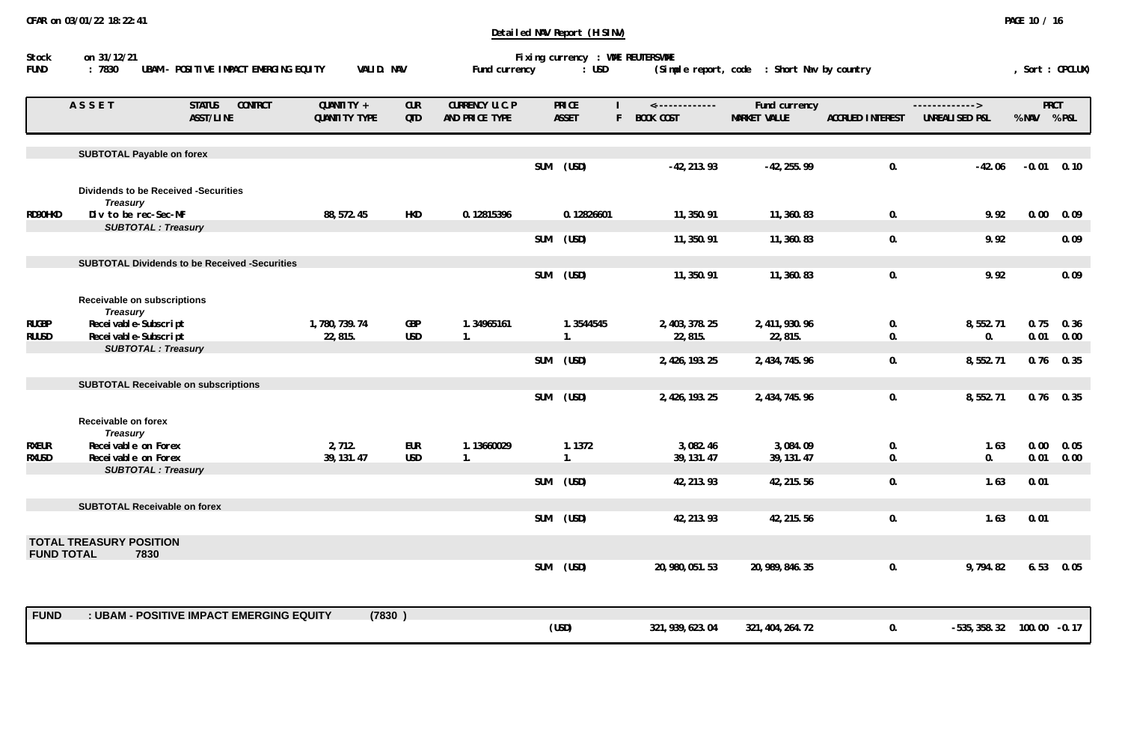|                   | ASSET                                              | <b>CONTRCT</b><br><b>STATUS</b><br>ASST/LINE         | QUANTITY +<br>QUANTITY TYPE | <b>CUR</b><br>QTD | CURRENCY U.C.P<br>AND PRICE TYPE |            | <b>PRICE</b><br><b>ASSET</b> | <-------------<br><b>BOOK COST</b> | Fund currency<br><b>MARKET VALUE</b> | <b>ACCRUED INTEREST</b> | $---------$<br>UNREALISED P&L | % NAV           | <b>PRCT</b><br>% P&L |
|-------------------|----------------------------------------------------|------------------------------------------------------|-----------------------------|-------------------|----------------------------------|------------|------------------------------|------------------------------------|--------------------------------------|-------------------------|-------------------------------|-----------------|----------------------|
|                   | <b>SUBTOTAL Payable on forex</b>                   |                                                      |                             |                   |                                  | <b>SUM</b> | (USD)                        | $-42, 213.93$                      | $-42, 255.99$                        | 0.                      | $-42.06$                      | $-0.01$         | 0.10                 |
|                   | <b>Treasury</b>                                    | <b>Dividends to be Received -Securities</b>          |                             |                   |                                  |            |                              |                                    |                                      |                         |                               |                 |                      |
| RD90HKD           | Div to be rec-Sec-MF<br><b>SUBTOTAL: Treasury</b>  |                                                      | 88, 572. 45                 | HKD               | 0.12815396                       |            | 0.12826601                   | 11, 350.91                         | 11, 360.83                           | 0.                      | 9.92                          | 0.00            | 0.09                 |
|                   |                                                    |                                                      |                             |                   |                                  | <b>SUM</b> | (USD)                        | 11, 350.91                         | 11, 360.83                           | 0.                      | 9.92                          |                 | 0.09                 |
|                   |                                                    | <b>SUBTOTAL Dividends to be Received -Securities</b> |                             |                   |                                  |            |                              |                                    |                                      |                         |                               |                 |                      |
|                   |                                                    |                                                      |                             |                   |                                  | <b>SUM</b> | (USD)                        | 11, 350.91                         | 11, 360.83                           | 0.                      | 9.92                          |                 | 0.09                 |
|                   | Receivable on subscriptions<br><b>Treasury</b>     |                                                      |                             |                   |                                  |            |                              |                                    |                                      |                         |                               |                 |                      |
| <b>RUGBP</b>      | Recei vable-Subscript                              |                                                      | 1,780,739.74                | GBP               | 1.34965161                       |            | 1.3544545                    | 2, 403, 378. 25                    | 2, 411, 930. 96                      | 0.                      | 8,552.71                      | 0.75            | 0.36                 |
| <b>RUUSD</b>      | Recei vable-Subscript<br><b>SUBTOTAL: Treasury</b> |                                                      | 22,815.                     | <b>USD</b>        | $\mathbf{1}$ .                   |            | 1.                           | 22,815.                            | 22,815.                              | 0.                      | 0.                            | 0.01            | 0.00                 |
|                   |                                                    |                                                      |                             |                   |                                  | <b>SUM</b> | (USD)                        | 2, 426, 193. 25                    | 2, 434, 745. 96                      | 0.                      | 8,552.71                      | 0.76            | 0.35                 |
|                   |                                                    | <b>SUBTOTAL Receivable on subscriptions</b>          |                             |                   |                                  |            |                              |                                    |                                      |                         |                               |                 |                      |
|                   |                                                    |                                                      |                             |                   |                                  | <b>SUM</b> | (USD)                        | 2, 426, 193. 25                    | 2, 434, 745. 96                      | 0.                      | 8,552.71                      | 0.76            | 0.35                 |
|                   | Receivable on forex<br><b>Treasury</b>             |                                                      |                             |                   |                                  |            |                              |                                    |                                      |                         |                               |                 |                      |
| <b>RXEUR</b>      | Receivable on Forex                                |                                                      | 2,712.                      | EUR               | 1.13660029                       |            | 1.1372                       | 3,082.46                           | 3,084.09                             | 0.                      | 1.63                          | 0.00            | 0.05                 |
| <b>RXUSD</b>      | Receivable on Forex<br><b>SUBTOTAL: Treasury</b>   |                                                      | 39, 131.47                  | <b>USD</b>        | $\mathbf{1}$ .                   |            | 1.                           | 39, 131. 47                        | 39, 131. 47                          | 0.                      | 0.                            | 0.01            | 0.00                 |
|                   |                                                    |                                                      |                             |                   |                                  | <b>SUM</b> | (USD)                        | 42, 213.93                         | 42, 215.56                           | 0.                      | 1.63                          | 0.01            |                      |
|                   | <b>SUBTOTAL Receivable on forex</b>                |                                                      |                             |                   |                                  |            |                              |                                    |                                      |                         |                               |                 |                      |
|                   |                                                    |                                                      |                             |                   |                                  | <b>SUM</b> | (USD)                        | 42, 213.93                         | 42, 215.56                           | 0.                      | 1.63                          | 0.01            |                      |
| <b>FUND TOTAL</b> | <b>TOTAL TREASURY POSITION</b><br>7830             |                                                      |                             |                   |                                  |            |                              |                                    |                                      |                         |                               |                 |                      |
|                   |                                                    |                                                      |                             |                   |                                  | <b>SUM</b> | (USD)                        | 20, 980, 051.53                    | 20, 989, 846. 35                     | 0.                      | 9,794.82                      | 6.53            | 0.05                 |
| <b>FUND</b>       |                                                    | : UBAM - POSITIVE IMPACT EMERGING EQUITY             | (7830)                      |                   |                                  |            |                              |                                    |                                      |                         |                               |                 |                      |
|                   |                                                    |                                                      |                             |                   |                                  |            | (USD)                        | 321, 939, 623.04                   | 321, 404, 264. 72                    | 0.                      | $-535, 358.32$                | $100.00 - 0.17$ |                      |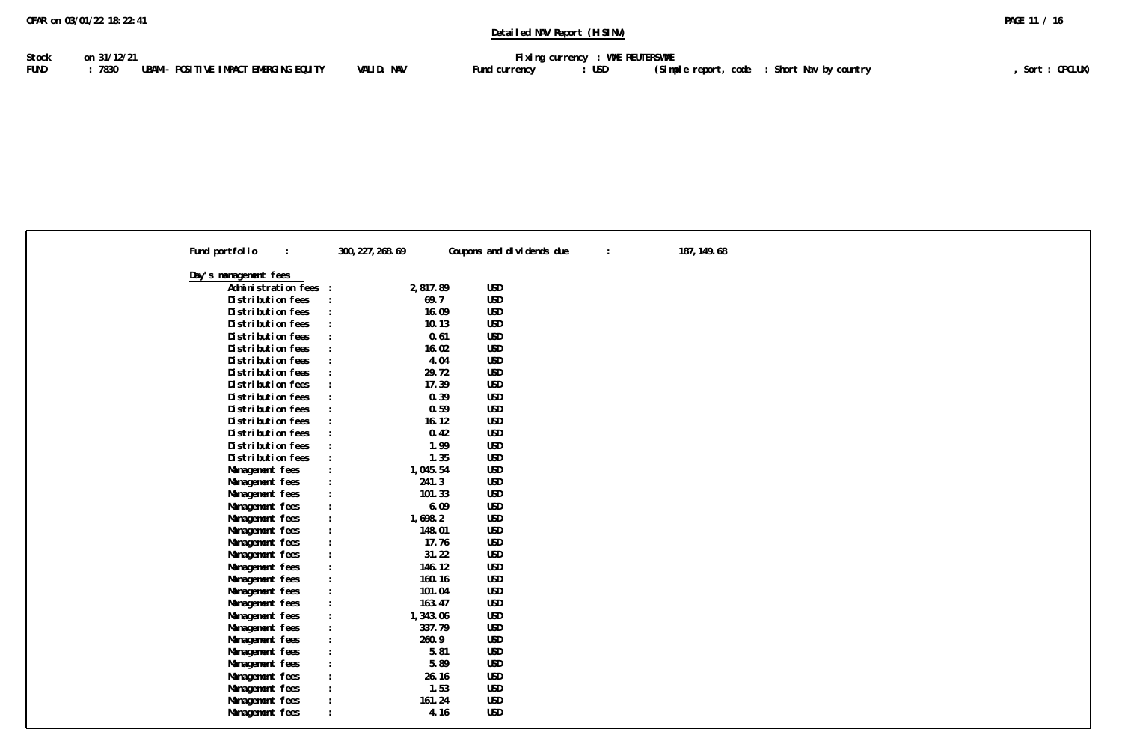| Fund portfolio                            | 300, 227, 268.69                    | Coupons and dividends due | $\ddot{\phantom{a}}$ | 187, 149.68 |
|-------------------------------------------|-------------------------------------|---------------------------|----------------------|-------------|
| Day's management fees                     |                                     |                           |                      |             |
| Administration fees<br>$\cdot$            | 2,817.89                            | <b>USD</b>                |                      |             |
| Distribution fees                         | 69.7                                | <b>USD</b>                |                      |             |
| Distribution fees                         |                                     | <b>USD</b><br>16.09       |                      |             |
| Distribution fees<br>$\cdot$              |                                     | USD<br>10.13              |                      |             |
| Distribution fees                         |                                     | <b>USD</b><br>0.61        |                      |             |
| Distribution fees                         |                                     | <b>USD</b><br>16.02       |                      |             |
| Distribution fees                         | $\cdot$                             | 4.04<br>USD               |                      |             |
| Distribution fees                         |                                     | <b>USD</b><br>29.72       |                      |             |
| Distribution fees<br>$\ddot{\phantom{a}}$ |                                     | USD<br>17.39              |                      |             |
| Distribution fees                         | $\ddot{\cdot}$                      | 0.39<br>USD               |                      |             |
| Distribution fees                         |                                     | <b>USD</b><br>0.59        |                      |             |
| Distribution fees                         |                                     | <b>USD</b><br>16.12       |                      |             |
| Distribution fees                         | $\cdot$                             | 0.42<br><b>USD</b>        |                      |             |
| Distribution fees<br>$\cdot$              |                                     | 1.99<br><b>USD</b>        |                      |             |
| Distribution fees                         |                                     | <b>USD</b><br>1.35        |                      |             |
| Management fees<br>$\ddot{\phantom{a}}$   | 1,045.54                            | <b>USD</b>                |                      |             |
| Management fees                           | 241.3                               | USD                       |                      |             |
| Management fees                           | 101.33                              | <b>USD</b>                |                      |             |
| Management fees<br>$\cdot$                |                                     | 6.09<br><b>USD</b>        |                      |             |
| Management fees<br>$\ddot{\phantom{a}}$   | 1,698.2                             | <b>USD</b>                |                      |             |
| Management fees                           | 148.01                              | USD                       |                      |             |
| Management fees<br>$\ddot{\phantom{a}}$   |                                     | USD<br>17.76              |                      |             |
| Management fees                           |                                     | <b>USD</b><br>31.22       |                      |             |
| Management fees                           | 146.12                              | <b>USD</b>                |                      |             |
| Management fees                           | 160.16                              | USD                       |                      |             |
| Management fees<br>$\ddot{\phantom{a}}$   | 101.04                              | USD                       |                      |             |
| Management fees                           | 163.47                              | <b>USD</b>                |                      |             |
|                                           |                                     | <b>USD</b>                |                      |             |
| Management fees                           | 1,343.06<br>$\mathcal{L}$<br>337.79 | <b>USD</b>                |                      |             |
| Management fees                           |                                     |                           |                      |             |
| Management fees                           | 260.9                               | <b>USD</b>                |                      |             |
| Management fees<br>$\cdot$                |                                     | <b>USD</b><br>5.81        |                      |             |
| Management fees<br>$\ddot{\phantom{a}}$   |                                     | 5.89<br>USD               |                      |             |
| Management fees                           |                                     | USD<br>26.16              |                      |             |
| Management fees                           |                                     | 1.53<br>USD               |                      |             |
| Management fees                           | 161.24                              | USD                       |                      |             |
| Management fees                           |                                     | <b>USD</b><br>4.16        |                      |             |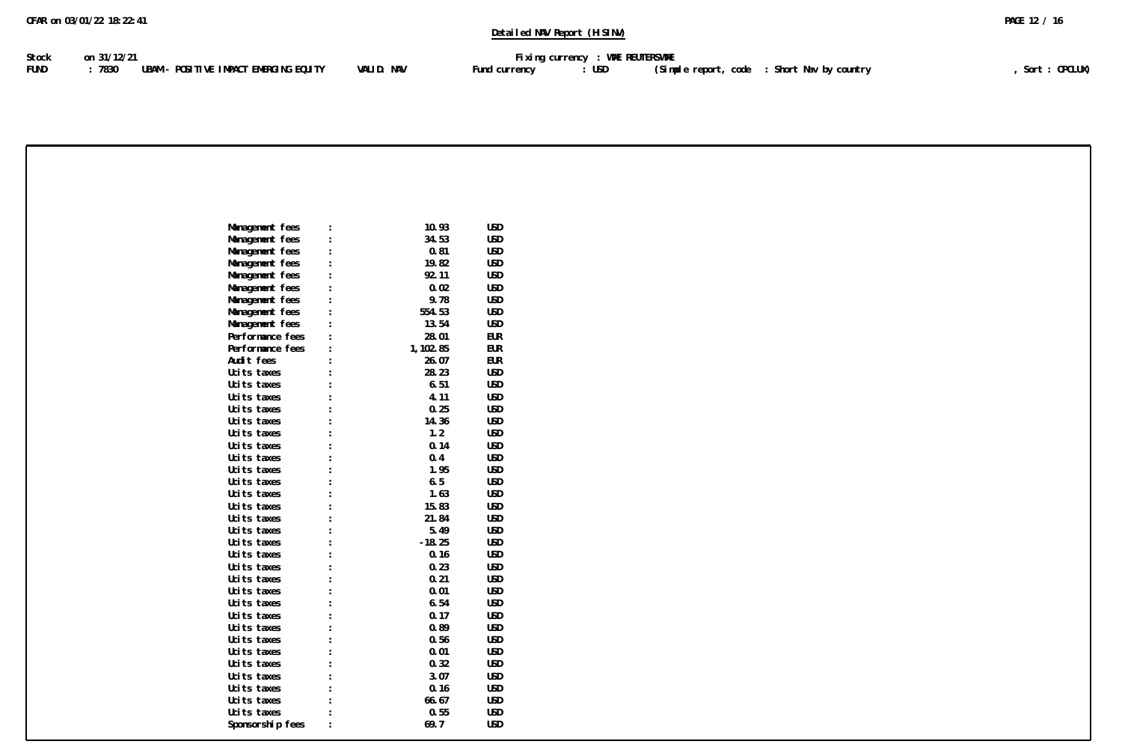| Stock | on 31/12/21                                   |            | Fixing currency : WME REUTERSWME |       |                                             |               |
|-------|-----------------------------------------------|------------|----------------------------------|-------|---------------------------------------------|---------------|
| FUND  | : 7830 UBAM – POSITIVE IMPACT EMERGING EQUITY | VALID. NAV | Fund currency                    | : USD | (Simple report, code : Short Nav by country | Sort: OPCLUX) |

| Management fees  | 10.93     | <b>USD</b> |
|------------------|-----------|------------|
| Management fees  | 34.53     | <b>USD</b> |
| Management fees  | 0.81      | <b>USD</b> |
| Management fees  | 19.82     | <b>USD</b> |
| Management fees  | 92.11     | <b>USD</b> |
| Management fees  | 0.02      | <b>USD</b> |
| Management fees  | 9.78      | <b>USD</b> |
| Management fees  | 554.53    | <b>USD</b> |
| Management fees  | 13.54     | <b>USD</b> |
| Performance fees | 28.01     | <b>EUR</b> |
| Performance fees | 1, 102.85 | <b>EUR</b> |
| Audit fees       | 26.07     | <b>EUR</b> |
| Ucits taxes      | 28.23     | <b>USD</b> |
| Ucits taxes      | 6.51      | <b>USD</b> |
| Ucits taxes      | 4.11      | <b>USD</b> |
| Ucits taxes      | 0.25      | <b>USD</b> |
| Ucits taxes      | 14.36     | <b>USD</b> |
| Ucits taxes      | 1.2       | <b>USD</b> |
| Ucits taxes      | 0.14      | <b>USD</b> |
| Ucits taxes      | 0.4       | <b>USD</b> |
| Ucits taxes      | 1.95      | <b>USD</b> |
| Ucits taxes      | 6.5       | <b>USD</b> |
| Ucits taxes      | 1.63      | <b>USD</b> |
| Ucits taxes      | 15.83     | <b>USD</b> |
| Ucits taxes      | 21.84     | <b>USD</b> |
| Ucits taxes      | 5.49      | <b>USD</b> |
| Ucits taxes      | $-18.25$  | <b>USD</b> |
| Ucits taxes      | 0.16      | <b>USD</b> |
| Ucits taxes      | 0.23      | <b>USD</b> |
| Ucits taxes      | 0.21      | <b>USD</b> |
| Ucits taxes      | 0.01      | USD        |
| Ucits taxes      | 6.54      | <b>USD</b> |
| Ucits taxes      | 0.17      | USD        |
| Ucits taxes      | 0.89      | <b>USD</b> |
| Ucits taxes      | 0.56      | <b>USD</b> |
| Ucits taxes      | 0.01      | <b>USD</b> |
| Ucits taxes      | 0.32      | <b>USD</b> |
| Ucits taxes      | 3.07      | <b>USD</b> |
| Ucits taxes      | 0.16      | <b>USD</b> |
| Ucits taxes      | 66.67     | <b>USD</b> |
| Ucits taxes      | 0.55      | <b>USD</b> |
| Sponsorship fees | 69.7      | <b>USD</b> |
|                  |           |            |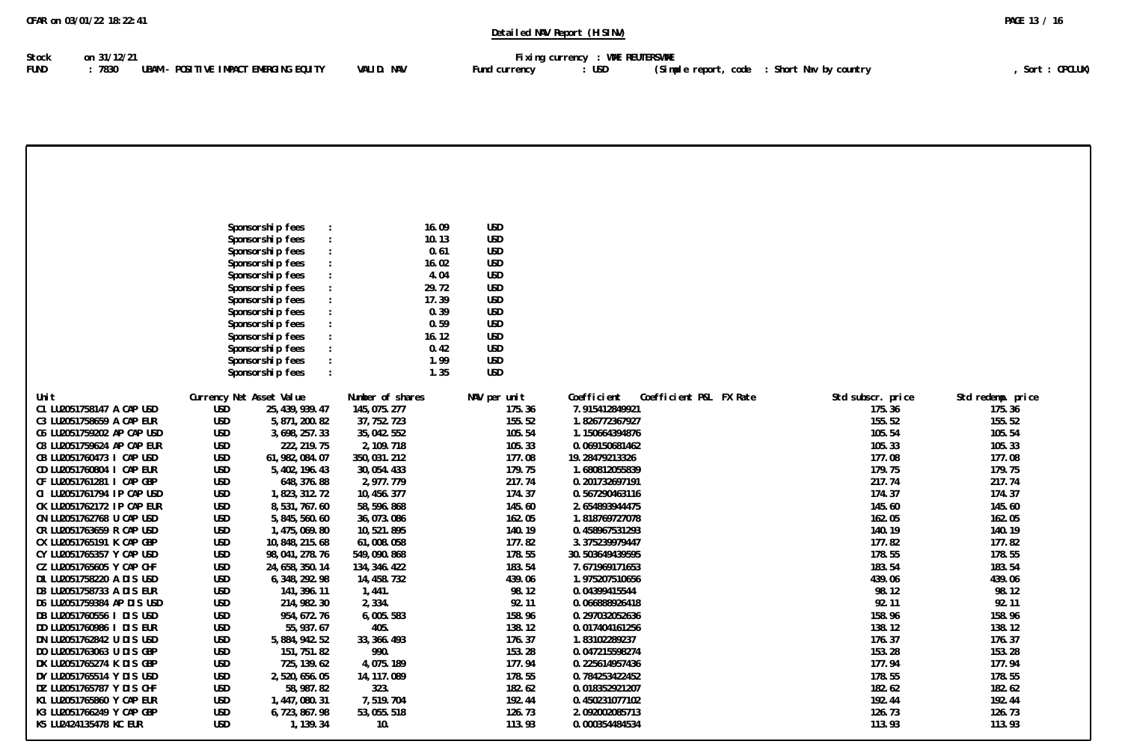| 0FAR on 03/01/22 18:22:41 | PAGE 13 / 16 |
|---------------------------|--------------|
|---------------------------|--------------|

Stock on 31/12/21<br>FUND : 7830 UBAM - POSITIVE IMPACT EMERGING EQUITY VALID. NAV **Fund currency : USD (Simple report, code :** Short Nav by country FUND : 7830 UBAM - POSITIVE IMPACT EMERGING EQUITY VALID. NAV Fund currency : USD (Simple report, code : Short Nav by country **Fund 2001**, Sort : OPCLUX)

|                                                          |                          | Sponsorship fees                     | 16.09                        | USD              |                                        |                   |                   |
|----------------------------------------------------------|--------------------------|--------------------------------------|------------------------------|------------------|----------------------------------------|-------------------|-------------------|
|                                                          |                          | Sponsorship fees<br>Sponsorship fees | 10.13<br>0.61                | USD<br>USD       |                                        |                   |                   |
|                                                          |                          | Sponsorship fees                     | 16.02                        | USD              |                                        |                   |                   |
|                                                          |                          | Sponsorship fees                     | 4.04                         | USD              |                                        |                   |                   |
|                                                          |                          | Sponsorship fees                     | 29.72                        | USD              |                                        |                   |                   |
|                                                          |                          | Sponsorship fees                     | 17.39                        | USD              |                                        |                   |                   |
|                                                          |                          | Sponsorship fees                     | 0.39                         | USD              |                                        |                   |                   |
|                                                          |                          | Sponsorship fees                     | 0.59                         | USD              |                                        |                   |                   |
|                                                          |                          | Sponsorship fees                     | 16.12                        | USD              |                                        |                   |                   |
|                                                          |                          | Sponsorship fees                     | 0.42                         | USD              |                                        |                   |                   |
|                                                          |                          | Sponsorship fees                     | 1.99                         | USD              |                                        |                   |                   |
|                                                          |                          | Sponsorship fees                     | 1.35                         | USD              |                                        |                   |                   |
| Uni t                                                    | Currency Net Asset Value |                                      | Number of shares             | NAV per unit     | Coefficient<br>Coefficient P&L FX Rate | Std subscr. price | Std redemp. price |
| C1 LU2051758147 A CAP USD                                | USD                      | 25, 439, 939. 47                     | 145, 075. 277                | 175.36           | 7.915412849921                         | 175.36            | 175.36            |
| C3 LU2051758659 A CAP EUR                                | <b>USD</b>               | 5, 871, 200. 82                      | 37, 752. 723                 | 155.52           | 1.826772367927                         | 155.52            | 155.52            |
| C6 LU2051759202 AP CAP USD                               | <b>USD</b>               | 3, 698, 257.33                       | 35, 042. 552                 | 105.54           | 1.150664394876                         | 105.54            | 105.54            |
| C8 LU2051759624 AP CAP EUR                               | <b>USD</b>               | 222, 219.75                          | 2, 109. 718                  | 105.33           | 0.069150681462                         | 105.33            | 105.33            |
| CB LU2051760473 I CAP USD                                | <b>USD</b>               | 61, 982, 084.07                      | 350, 031.212                 | 177.08           | 19.28479213326                         | 177.08            | 177.08            |
| CD LU2051760804 I CAP EUR                                | USD                      | 5, 402, 196. 43                      | 30, 054. 433                 | 179.75           | 1.680812055839                         | 179.75            | 179.75            |
| CF LU2051761281 I CAP GBP                                | USD                      | 648, 376.88                          | 2,977.779                    | 217.74           | 0.201732697191                         | 217.74            | 217.74            |
| CI LU2051761794 IP CAP USD<br>CK LU2051762172 IP CAP EUR | <b>USD</b><br>USD        | 1,823,312.72<br>8,531,767.60         | 10, 456. 377<br>58, 596. 868 | 174.37<br>145.60 | 0.567290463116<br>2.654893944475       | 174.37<br>145.60  | 174.37<br>145.60  |
| CN LU2051762768 U CAP USD                                | USD                      | 5, 845, 560.60                       | 36,073.086                   | 162.05           | 1.818769727078                         | 162.05            | 162.05            |
| CR LU2051763659 R CAP USD                                | <b>USD</b>               | 1, 475, 069.80                       | 10,521.895                   | 140.19           | 0.458967531293                         | 140.19            | 140.19            |
| CX LU2051765191 K CAP GBP                                | USD                      | 10, 848, 215.68                      | 61,008.058                   | 177.82           | 3.375239979447                         | 177.82            | 177.82            |
| CY LU2051765357 Y CAP USD                                | USD                      | 98, 041, 278. 76                     | 549,090.868                  | 178.55           | 30.503649439595                        | 178.55            | 178.55            |
| CZ LU2051765605 Y CAP CHF                                | <b>USD</b>               | 24, 658, 350. 14                     | 134, 346. 422                | 183.54           | 7.671969171653                         | 183.54            | 183.54            |
| D1 LU2051758220 A DIS USD                                | USD                      | 6, 348, 292. 98                      | 14, 458. 732                 | 439.06           | 1.975207510656                         | 439.06            | 439.06            |
| D3 LU2051758733 A DIS EUR                                | USD                      | 141, 396. 11                         | 1,441.                       | 98.12            | 0.04399415544                          | 98.12             | 98.12             |
| D6 LU2051759384 AP DIS USD                               | <b>USD</b>               | 214, 982. 30                         | 2,334.                       | 92.11            | 0.066888926418                         | 92.11             | 92.11             |
| DB LU2051760556   DIS USD                                | USD                      | 954, 672. 76                         | 6,005.583                    | 158.96           | 0.297032052636                         | 158.96            | 158.96            |
| DD LU2051760986 I DIS EUR                                | <b>USD</b>               | 55, 937.67                           | 405.                         | 138.12           | 0.017404161256                         | 138.12            | 138.12            |
| DN LU2051762842 U DIS USD<br>DO LU2051763063 U DIS GBP   | USD<br>USD               | 5, 884, 942. 52<br>151, 751. 82      | 33, 366. 493<br>990.         | 176.37<br>153.28 | 1.83102289237<br>0.047215598274        | 176.37<br>153.28  | 176.37<br>153.28  |
| DX LU2051765274 K DIS GBP                                | USD                      | 725, 139.62                          | 4,075.189                    | 177.94           | 0.225614957436                         | 177.94            | 177.94            |
| DY LU2051765514 Y DIS USD                                | USD                      | 2,520,656.05                         | 14, 117, 089                 | 178.55           | 0.784253422452                         | 178.55            | 178.55            |
| DZ LU2051765787 Y DIS CHF                                | USD                      | 58, 987.82                           | 323.                         | 182.62           | 0.018352921207                         | 182.62            | 182.62            |
| K1 LU2051765860 Y CAP EUR                                | USD                      | 1, 447, 080. 31                      | 7,519.704                    | 192.44           | 0.450231077102                         | 192.44            | 192.44            |
| K3 LU2051766249 Y CAP GBP                                | <b>USD</b>               | 6,723,867.98                         | 53,055.518                   | 126.73           | 2.092002085713                         | 126.73            | 126.73            |
| K5 LU2424135478 KC EUR                                   | USD                      | 1, 139.34                            | 10.                          | 113.93           | 0.000354484534                         | 113.93            | 113.93            |
|                                                          |                          |                                      |                              |                  |                                        |                   |                   |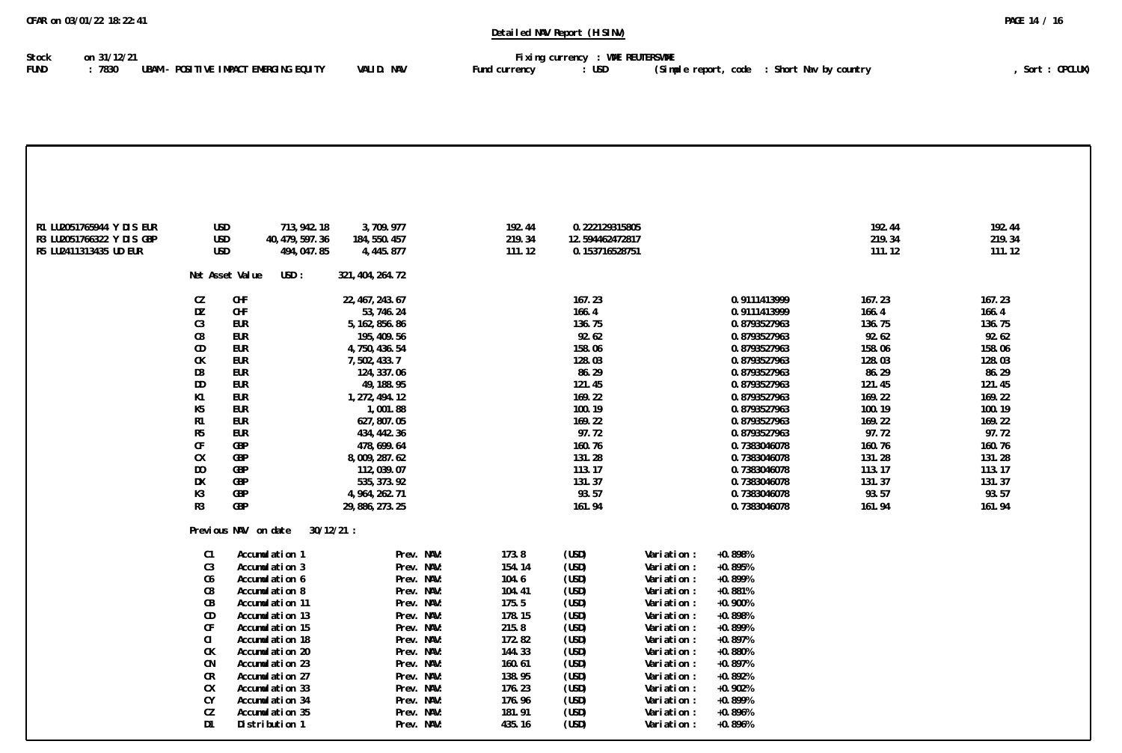| Stock       | on 31/12/21                                       |            |               | Fixing currency : WME REUTERSWME |                                               |               |
|-------------|---------------------------------------------------|------------|---------------|----------------------------------|-----------------------------------------------|---------------|
| <b>FUND</b> | : 7830     UBAM – POSITIVE IMPACT EMERGING EQUITY | VALID. NAV | Fund currency | : USD                            | (Simple report, code   : Short Nav by country | Sort: OPCLUX) |

| R1 LU2051765944 Y DIS EUR | <b>USD</b>             | 713, 942. 18            | 3,709.977                      | 192.44 | 0.222129315805  |             |                              | 192.44          | 192.44          |
|---------------------------|------------------------|-------------------------|--------------------------------|--------|-----------------|-------------|------------------------------|-----------------|-----------------|
| R3 LU2051766322 Y DIS GBP | <b>USD</b>             | 40, 479, 597.36         | 184, 550. 457                  | 219.34 | 12.594462472817 |             |                              | 219.34          | 219.34          |
| R5 LU2411313435 UD EUR    | <b>USD</b>             | 494, 047.85             | 4, 445. 877                    | 111.12 | 0.153716528751  |             |                              | 111.12          | 111.12          |
|                           |                        | Net Asset Value<br>USD: | 321, 404, 264. 72              |        |                 |             |                              |                 |                 |
|                           |                        |                         |                                |        |                 |             |                              |                 |                 |
|                           | CZ<br>DZ               | CHF<br>CHF              | 22, 467, 243.67                |        | 167.23<br>166.4 |             | 0.9111413999<br>0.9111413999 | 167.23<br>166.4 | 167.23<br>166.4 |
|                           | C <sub>3</sub>         | EUR                     | 53, 746. 24<br>5, 162, 856. 86 |        | 136.75          |             | 0.8793527963                 | 136.75          | 136.75          |
|                           | C8                     | <b>EUR</b>              | 195, 409. 56                   |        | 92.62           |             | 0.8793527963                 | 92.62           | 92.62           |
|                           | CD                     | eur                     | 4,750,436.54                   |        | 158.06          |             | 0.8793527963                 | 158.06          | 158.06          |
|                           | СK                     | <b>EUR</b>              | 7,502,433.7                    |        | 128.03          |             | 0.8793527963                 | 128.03          | 128.03          |
|                           | D3                     | EUR                     | 124, 337.06                    |        | 86.29           |             | 0.8793527963                 | 86.29           | 86.29           |
|                           | DD                     | EUR                     | 49, 188. 95                    |        | 121.45          |             | 0.8793527963                 | 121.45          | 121.45          |
|                           | K1                     | EUR                     | 1, 272, 494. 12                |        | 169.22          |             | 0.8793527963                 | 169.22          | 169.22          |
|                           | K <sub>5</sub>         | EUR                     | 1,001.88                       |        | 100.19          |             | 0.8793527963                 | 100.19          | 100.19          |
|                           | R1                     | EUR                     | 627, 807.05                    |        | 169.22          |             | 0.8793527963                 | 169.22          | 169.22          |
|                           | R <sub>5</sub>         | EUR                     | 434, 442. 36                   |        | 97.72           |             | 0.8793527963                 | 97.72           | 97.72           |
|                           | CF                     | GBP                     | 478, 699. 64                   |        | 160.76          |             | 0.7383046078                 | 160.76          | 160.76          |
|                           | СX                     | GBP                     | 8,009,287.62                   |        | 131.28          |             | 0.7383046078                 | 131.28          | 131.28          |
|                           | D <sub>0</sub>         | GBP                     | 112,039.07                     |        | 113.17          |             | 0.7383046078                 | 113.17          | 113.17          |
|                           | DX                     | GBP                     | 535, 373.92                    |        | 131.37          |             | 0.7383046078                 | 131.37          | 131.37          |
|                           | K3                     | GBP                     | 4, 964, 262. 71                |        | 93.57           |             | 0.7383046078                 | 93.57           | 93.57           |
|                           | R <sub>3</sub>         | GBP                     | 29, 886, 273. 25               |        | 161.94          |             | 0.7383046078                 | 161.94          | 161.94          |
|                           |                        |                         | $30/12/21$ :                   |        |                 |             |                              |                 |                 |
|                           |                        | Previous NAV on date    |                                |        |                 |             |                              |                 |                 |
|                           | C1                     | Accumulation 1          | Prev. NAV:                     | 173.8  | (USD)           | Variation : | $+0.898%$                    |                 |                 |
|                           | C <sub>3</sub>         | Accumulation 3          | Prev. NAV:                     | 154.14 | (USD)           | Variation : | $+0.895%$                    |                 |                 |
|                           | C6                     | Accumulation 6          | Prev. NAV:                     | 104.6  | (USD)           | Variation : | $+0.899%$                    |                 |                 |
|                           | C8                     | Accumulation 8          | Prev. NAV:                     | 104.41 | (USD)           | Variation : | $+0.881%$                    |                 |                 |
|                           | СB                     | Accumulation 11         | Prev. NAV:                     | 175.5  | (USD)           | Variation : | $+0.900%$                    |                 |                 |
|                           | CD                     | Accumulation 13         | Prev. NAV:                     | 178.15 | (USD)           | Variation : | $+0.898%$                    |                 |                 |
|                           | $\mathsf{C}\mathsf{F}$ | Accumulation 15         | Prev. NAV:                     | 215.8  | (USD)           | Variation : | $+0.899%$                    |                 |                 |
|                           | CI                     | Accumulation 18         | Prev. NAV:                     | 172.82 | (USD)           | Variation : | $+0.897%$                    |                 |                 |
|                           | СK                     | Accumulation 20         | Prev. NAV:                     | 144.33 | (USD)           | Variation : | $+0.880%$                    |                 |                 |
|                           | CN                     | Accumulation 23         | Prev. NAV:                     | 160.61 | (USD)           | Variation : | $+0.897%$                    |                 |                 |
|                           | CR                     | Accumulation 27         | Prev. NAV:                     | 138.95 | (USD)           | Variation : | $+0.892%$                    |                 |                 |
|                           | СX                     | Accumulation 33         | Prev. NAV:                     | 176.23 | (USD)           | Variation : | $+0.902%$                    |                 |                 |
|                           | СY                     | Accumulation 34         | Prev. NAV:                     | 176.96 | (USD)           | Variation : | $+0.899%$                    |                 |                 |
|                           | СZ                     | Accumulation 35         | Prev. NAV:                     | 181.91 | (USD)           | Variation : | $+0.896%$                    |                 |                 |
|                           | D <sub>1</sub>         | Distribution 1          | Prev. NAV:                     | 435.16 | (USD)           | Variation : | $+0.896%$                    |                 |                 |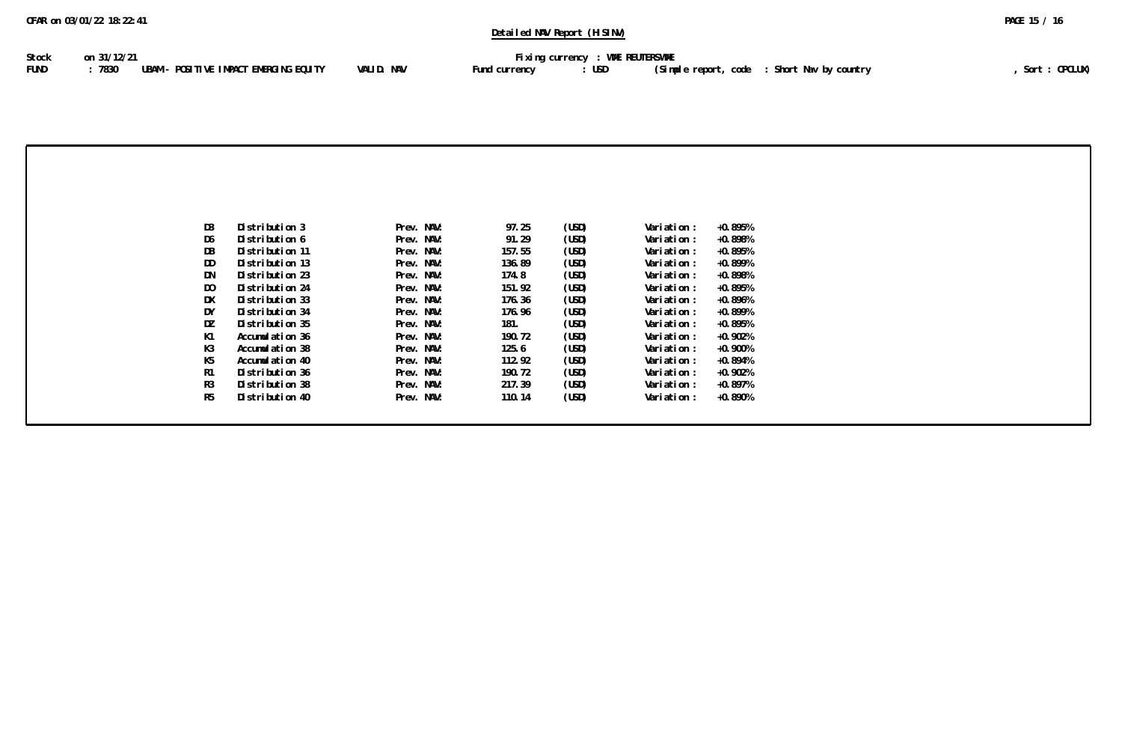| Stock | on 31/12/21                                   |            |               | Fixing currency : WME REUTERSWME |                                               |               |
|-------|-----------------------------------------------|------------|---------------|----------------------------------|-----------------------------------------------|---------------|
| FUND  | : 7830 UBAM - POSITIVE IMPACT EMERGING EQUITY | VALID. NAV | Fund currency | : USD                            | (Simple report, code   : Short Nav by country | Sort: OPCLUX) |

| D <sub>3</sub><br>Distribution 3<br>97.25<br>(USD)<br>Prev. NAV:<br>Variation :<br>$+0.895%$<br>D6<br>Prev. NAV:<br>91.29<br>(USD)<br>$+0.898%$<br>Distribution 6<br>Variation :<br>DB<br>157.55<br>$+0.895%$<br>Distribution 11<br>Prev. NAV:<br>(USD)<br>Variation :<br>DD<br>Distribution 13<br>Prev. NAV:<br>$+0.899%$<br>136.89<br>(USD)<br>Variation :<br>DN<br>Distribution 23<br>Prev. NAV:<br>174.8<br>(USD)<br>Variation :<br>$+0.898%$<br>D <sub>0</sub><br>Distribution 24<br>Prev. NAV:<br>151.92<br>(USD)<br>$+0.895%$<br>Variation :<br>DX<br>$+0.896%$<br>Distribution 33<br>Prev. NAV:<br>(USD)<br>176.36<br>Variation :<br>DY<br>Distribution 34<br>Prev. NAV:<br>176.96<br>(USD)<br>Variation :<br>$+0.899%$<br>DZ<br>Prev. NAV:<br>181.<br>(USD)<br>$+0.895%$<br>Distribution 35<br>Variation :<br>K1<br>Accumulation 36<br>190.72<br>$+0.902%$<br>Prev. NAV:<br>(USD)<br>Variation :<br>K3<br>Accumulation 38<br>Prev. NAV:<br>(USD)<br>$+0.900%$<br>125.6<br>Variation :<br>K5<br>Accumulation 40<br>Prev. NAV:<br>112.92<br>(USD)<br>$+0.894%$<br>Variation :<br>R1<br>190.72<br>Distribution 36<br>Prev. NAV:<br>$+0.902%$<br>(USD)<br>Variation : |                |                 |            |        |       |             |         |
|----------------------------------------------------------------------------------------------------------------------------------------------------------------------------------------------------------------------------------------------------------------------------------------------------------------------------------------------------------------------------------------------------------------------------------------------------------------------------------------------------------------------------------------------------------------------------------------------------------------------------------------------------------------------------------------------------------------------------------------------------------------------------------------------------------------------------------------------------------------------------------------------------------------------------------------------------------------------------------------------------------------------------------------------------------------------------------------------------------------------------------------------------------------------------|----------------|-----------------|------------|--------|-------|-------------|---------|
|                                                                                                                                                                                                                                                                                                                                                                                                                                                                                                                                                                                                                                                                                                                                                                                                                                                                                                                                                                                                                                                                                                                                                                            |                |                 |            |        |       |             |         |
|                                                                                                                                                                                                                                                                                                                                                                                                                                                                                                                                                                                                                                                                                                                                                                                                                                                                                                                                                                                                                                                                                                                                                                            |                |                 |            |        |       |             |         |
|                                                                                                                                                                                                                                                                                                                                                                                                                                                                                                                                                                                                                                                                                                                                                                                                                                                                                                                                                                                                                                                                                                                                                                            |                |                 |            |        |       |             |         |
|                                                                                                                                                                                                                                                                                                                                                                                                                                                                                                                                                                                                                                                                                                                                                                                                                                                                                                                                                                                                                                                                                                                                                                            |                |                 |            |        |       |             |         |
|                                                                                                                                                                                                                                                                                                                                                                                                                                                                                                                                                                                                                                                                                                                                                                                                                                                                                                                                                                                                                                                                                                                                                                            |                |                 |            |        |       |             |         |
|                                                                                                                                                                                                                                                                                                                                                                                                                                                                                                                                                                                                                                                                                                                                                                                                                                                                                                                                                                                                                                                                                                                                                                            |                |                 |            |        |       |             |         |
|                                                                                                                                                                                                                                                                                                                                                                                                                                                                                                                                                                                                                                                                                                                                                                                                                                                                                                                                                                                                                                                                                                                                                                            |                |                 |            |        |       |             |         |
|                                                                                                                                                                                                                                                                                                                                                                                                                                                                                                                                                                                                                                                                                                                                                                                                                                                                                                                                                                                                                                                                                                                                                                            |                |                 |            |        |       |             |         |
|                                                                                                                                                                                                                                                                                                                                                                                                                                                                                                                                                                                                                                                                                                                                                                                                                                                                                                                                                                                                                                                                                                                                                                            |                |                 |            |        |       |             |         |
|                                                                                                                                                                                                                                                                                                                                                                                                                                                                                                                                                                                                                                                                                                                                                                                                                                                                                                                                                                                                                                                                                                                                                                            |                |                 |            |        |       |             |         |
|                                                                                                                                                                                                                                                                                                                                                                                                                                                                                                                                                                                                                                                                                                                                                                                                                                                                                                                                                                                                                                                                                                                                                                            |                |                 |            |        |       |             |         |
|                                                                                                                                                                                                                                                                                                                                                                                                                                                                                                                                                                                                                                                                                                                                                                                                                                                                                                                                                                                                                                                                                                                                                                            |                |                 |            |        |       |             |         |
|                                                                                                                                                                                                                                                                                                                                                                                                                                                                                                                                                                                                                                                                                                                                                                                                                                                                                                                                                                                                                                                                                                                                                                            |                |                 |            |        |       |             |         |
|                                                                                                                                                                                                                                                                                                                                                                                                                                                                                                                                                                                                                                                                                                                                                                                                                                                                                                                                                                                                                                                                                                                                                                            |                |                 |            |        |       |             |         |
|                                                                                                                                                                                                                                                                                                                                                                                                                                                                                                                                                                                                                                                                                                                                                                                                                                                                                                                                                                                                                                                                                                                                                                            |                |                 |            |        |       |             |         |
|                                                                                                                                                                                                                                                                                                                                                                                                                                                                                                                                                                                                                                                                                                                                                                                                                                                                                                                                                                                                                                                                                                                                                                            |                |                 |            |        |       |             |         |
|                                                                                                                                                                                                                                                                                                                                                                                                                                                                                                                                                                                                                                                                                                                                                                                                                                                                                                                                                                                                                                                                                                                                                                            |                |                 |            |        |       |             |         |
|                                                                                                                                                                                                                                                                                                                                                                                                                                                                                                                                                                                                                                                                                                                                                                                                                                                                                                                                                                                                                                                                                                                                                                            | R <sub>3</sub> | Distribution 38 | Prev. NAV: | 217.39 | (USD) | Variation : | +0.897% |
| R <sub>5</sub><br>Distribution 40<br>(USD)<br>Prev. NAV:<br>110.14<br>Variation :<br>$+0.890%$                                                                                                                                                                                                                                                                                                                                                                                                                                                                                                                                                                                                                                                                                                                                                                                                                                                                                                                                                                                                                                                                             |                |                 |            |        |       |             |         |